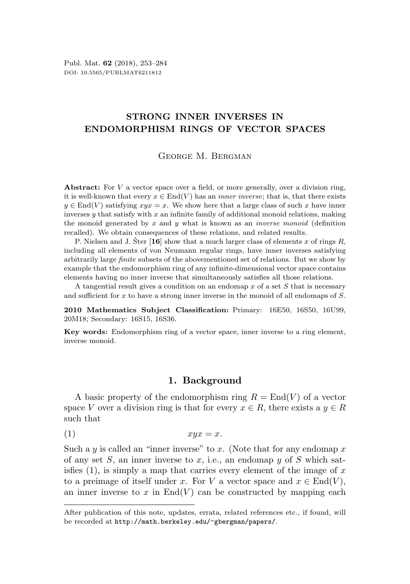# STRONG INNER INVERSES IN ENDOMORPHISM RINGS OF VECTOR SPACES

George M. Bergman

Abstract: For  $V$  a vector space over a field, or more generally, over a division ring, it is well-known that every  $x \in End(V)$  has an *inner inverse*; that is, that there exists  $y \in \text{End}(V)$  satisfying  $xyx = x$ . We show here that a large class of such x have inner inverses  $y$  that satisfy with  $x$  an infinite family of additional monoid relations, making the monoid generated by x and y what is known as an *inverse monoid* (definition recalled). We obtain consequences of these relations, and related results.

P. Nielsen and J. Ster [[16](#page-31-0)] show that a much larger class of elements x of rings R, including all elements of von Neumann regular rings, have inner inverses satisfying arbitrarily large finite subsets of the abovementioned set of relations. But we show by example that the endomorphism ring of any infinite-dimensional vector space contains elements having no inner inverse that simultaneously satisfies all those relations.

A tangential result gives a condition on an endomap  $x$  of a set  $S$  that is necessary and sufficient for x to have a strong inner inverse in the monoid of all endomaps of S.

2010 Mathematics Subject Classification: Primary: 16E50, 16S50, 16U99, 20M18; Secondary: 16S15, 16S36.

Key words: Endomorphism ring of a vector space, inner inverse to a ring element, inverse monoid.

# <span id="page-0-0"></span>1. Background

<span id="page-0-1"></span>A basic property of the endomorphism ring  $R = \text{End}(V)$  of a vector space V over a division ring is that for every  $x \in R$ , there exists a  $y \in R$ such that

(1)  $xyx = x$ .

Such a y is called an "inner inverse" to x. (Note that for any endomap x of any set  $S$ , an inner inverse to  $x$ , i.e., an endomap  $y$  of  $S$  which satisfies  $(1)$ , is simply a map that carries every element of the image of x to a preimage of itself under x. For V a vector space and  $x \in End(V)$ , an inner inverse to x in  $End(V)$  can be constructed by mapping each

After publication of this note, updates, errata, related references etc., if found, will be recorded at <http://math.berkeley.edu/~gbergman/papers/>.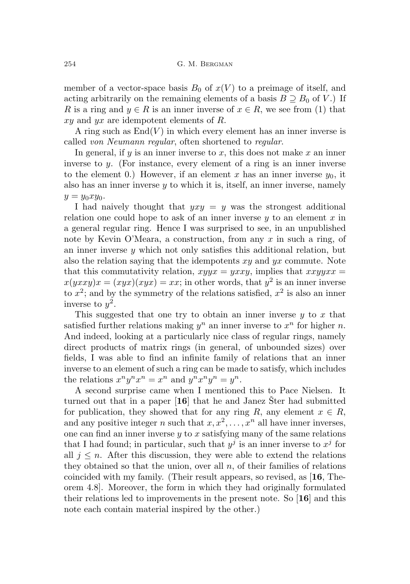member of a vector-space basis  $B_0$  of  $x(V)$  to a preimage of itself, and acting arbitrarily on the remaining elements of a basis  $B \supseteq B_0$  of V.) If R is a ring and  $y \in R$  is an inner inverse of  $x \in R$ , we see from [\(1\)](#page-0-0) that  $xy$  and  $yx$  are idempotent elements of R.

A ring such as  $End(V)$  in which every element has an inner inverse is called von Neumann regular, often shortened to regular.

In general, if  $y$  is an inner inverse to  $x$ , this does not make  $x$  an inner inverse to y. (For instance, every element of a ring is an inner inverse to the element 0.) However, if an element x has an inner inverse  $y_0$ , it also has an inner inverse y to which it is, itself, an inner inverse, namely  $y = y_0xy_0.$ 

I had naively thought that  $yxy = y$  was the strongest additional relation one could hope to ask of an inner inverse  $y$  to an element x in a general regular ring. Hence I was surprised to see, in an unpublished note by Kevin O'Meara, a construction, from any  $x$  in such a ring, of an inner inverse  $y$  which not only satisfies this additional relation, but also the relation saying that the idempotents  $xy$  and  $yx$  commute. Note that this commutativity relation,  $xyyx = yxxy$ , implies that  $xxyyxx =$  $x(yxxy)x = (xyx)(xyx) = xx$ ; in other words, that  $y^2$  is an inner inverse to  $x^2$ ; and by the symmetry of the relations satisfied,  $x^2$  is also an inner inverse to  $y^2$ .

This suggested that one try to obtain an inner inverse  $y$  to x that satisfied further relations making  $y^n$  an inner inverse to  $x^n$  for higher n. And indeed, looking at a particularly nice class of regular rings, namely direct products of matrix rings (in general, of unbounded sizes) over fields, I was able to find an infinite family of relations that an inner inverse to an element of such a ring can be made to satisfy, which includes the relations  $x^n y^n x^n = x^n$  and  $y^n x^n y^n = y^n$ .

A second surprise came when I mentioned this to Pace Nielsen. It turned out that in a paper  $[16]$  $[16]$  $[16]$  that he and Janez Ster had submitted for publication, they showed that for any ring R, any element  $x \in R$ , and any positive integer n such that  $x, x^2, \ldots, x^n$  all have inner inverses, one can find an inner inverse  $y$  to  $x$  satisfying many of the same relations that I had found; in particular, such that  $y^j$  is an inner inverse to  $x^j$  for all  $j \leq n$ . After this discussion, they were able to extend the relations they obtained so that the union, over all  $n$ , of their families of relations coincided with my family. (Their result appears, so revised, as [[16](#page-31-0), Theorem 4.8]. Moreover, the form in which they had originally formulated their relations led to improvements in the present note. So [[16](#page-31-0)] and this note each contain material inspired by the other.)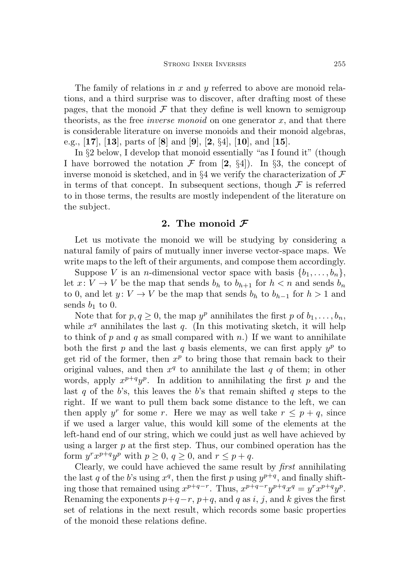The family of relations in  $x$  and  $y$  referred to above are monoid relations, and a third surprise was to discover, after drafting most of these pages, that the monoid  $\mathcal F$  that they define is well known to semigroup theorists, as the free *inverse monoid* on one generator  $x$ , and that there is considerable literature on inverse monoids and their monoid algebras, e.g., [[17](#page-31-1)], [[13](#page-31-2)], parts of [[8](#page-30-0)] and [[9](#page-31-3)], [[2](#page-30-1),  $\S4$ ], [[10](#page-31-4)], and [[15](#page-31-5)].

In §[2](#page-2-0) below, I develop that monoid essentially "as I found it" (though I have borrowed the notation  $\mathcal F$  from [[2](#page-30-1), §4]). In §[3,](#page-5-0) the concept of inverse monoid is sketched, and in §[4](#page-7-0) we verify the characterization of  $\mathcal F$ in terms of that concept. In subsequent sections, though  $\mathcal F$  is referred to in those terms, the results are mostly independent of the literature on the subject.

# 2. The monoid  $\mathcal F$

<span id="page-2-0"></span>Let us motivate the monoid we will be studying by considering a natural family of pairs of mutually inner inverse vector-space maps. We write maps to the left of their arguments, and compose them accordingly.

Suppose V is an *n*-dimensional vector space with basis  $\{b_1, \ldots, b_n\}$ , let  $x: V \to V$  be the map that sends  $b_h$  to  $b_{h+1}$  for  $h < n$  and sends  $b_n$ to 0, and let  $y: V \to V$  be the map that sends  $b_h$  to  $b_{h-1}$  for  $h > 1$  and sends  $b_1$  to 0.

Note that for  $p, q \geq 0$ , the map  $y^p$  annihilates the first p of  $b_1, \ldots, b_n$ , while  $x^q$  annihilates the last  $q$ . (In this motivating sketch, it will help to think of p and q as small compared with n.) If we want to annihilate both the first p and the last q basis elements, we can first apply  $y^p$  to get rid of the former, then  $x^p$  to bring those that remain back to their original values, and then  $x^q$  to annihilate the last q of them; in other words, apply  $x^{p+q}y^p$ . In addition to annihilating the first p and the last q of the b's, this leaves the b's that remain shifted q steps to the right. If we want to pull them back some distance to the left, we can then apply y<sup>r</sup> for some r. Here we may as well take  $r \leq p+q$ , since if we used a larger value, this would kill some of the elements at the left-hand end of our string, which we could just as well have achieved by using a larger  $p$  at the first step. Thus, our combined operation has the form  $y^r x^{p+q} y^p$  with  $p \ge 0$ ,  $q \ge 0$ , and  $r \le p+q$ .

Clearly, we could have achieved the same result by first annihilating the last q of the b's using  $x^q$ , then the first p using  $y^{p+q}$ , and finally shifting those that remained using  $x^{p+q-r}$ . Thus,  $x^{p+q-r}y^{p+q}x^q = y^r x^{p+q}y^p$ . Renaming the exponents  $p+q-r$ ,  $p+q$ , and q as i, j, and k gives the first set of relations in the next result, which records some basic properties of the monoid these relations define.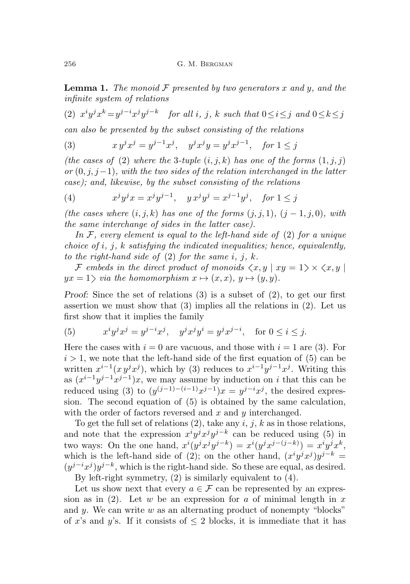<span id="page-3-4"></span>**Lemma 1.** The monoid  $\mathcal F$  presented by two generators x and y, and the infinite system of relations

<span id="page-3-0"></span>(2)  $x^i y^j x^k = y^{j-i} x^j y^{j-k}$  for all i, j, k such that  $0 \le i \le j$  and  $0 \le k \le j$ can also be presented by the subset consisting of the relations

<span id="page-3-1"></span>(3) 
$$
x y^{j} x^{j} = y^{j-1} x^{j}, \quad y^{j} x^{j} y = y^{j} x^{j-1}, \quad \text{for } 1 \leq j
$$

(the cases of [\(2\)](#page-3-0) where the 3-tuple  $(i, j, k)$  has one of the forms  $(1, j, j)$ or  $(0, j, j-1)$ , with the two sides of the relation interchanged in the latter case); and, likewise, by the subset consisting of the relations

<span id="page-3-3"></span>(4) 
$$
x^j y^j x = x^j y^{j-1}, \quad y x^j y^j = x^{j-1} y^j, \quad \text{for } 1 \leq j
$$

(the cases where  $(i, j, k)$  has one of the forms  $(j, j, 1)$ ,  $(j - 1, j, 0)$ , with the same interchange of sides in the latter case).

In  $\mathcal F$ , every element is equal to the left-hand side of [\(2\)](#page-3-0) for a unique choice of  $i, j, k$  satisfying the indicated inequalities; hence, equivalently, to the right-hand side of  $(2)$  for the same i, j, k.

F embeds in the direct product of monoids  $\langle x, y | xy = 1 \rangle \times \langle x, y |$  $yx = 1$  via the homomorphism  $x \mapsto (x, x), y \mapsto (y, y)$ .

Proof: Since the set of relations [\(3\)](#page-3-1) is a subset of [\(2\)](#page-3-0), to get our first assertion we must show that [\(3\)](#page-3-1) implies all the relations in [\(2\)](#page-3-0). Let us first show that it implies the family

<span id="page-3-2"></span>(5) 
$$
x^i y^j x^j = y^{j-i} x^j
$$
,  $y^j x^j y^i = y^j x^{j-i}$ , for  $0 \le i \le j$ .

Here the cases with  $i = 0$  are vacuous, and those with  $i = 1$  are [\(3\)](#page-3-1). For  $i > 1$ , we note that the left-hand side of the first equation of [\(5\)](#page-3-2) can be written  $x^{i-1}(x y^j x^j)$ , which by [\(3\)](#page-3-1) reduces to  $x^{i-1} y^{j-1} x^j$ . Writing this as  $(x^{i-1}y^{j-1}x^{j-1})x$ , we may assume by induction on i that this can be reduced using [\(3\)](#page-3-1) to  $(y^{(j-1)-(i-1)}x^{j-1})x = y^{j-i}x^j$ , the desired expression. The second equation of [\(5\)](#page-3-2) is obtained by the same calculation, with the order of factors reversed and  $x$  and  $y$  interchanged.

To get the full set of relations  $(2)$ , take any  $i, j, k$  as in those relations, and note that the expression  $x^i y^j x^j y^{j-k}$  can be reduced using [\(5\)](#page-3-2) in two ways: On the one hand,  $x^{i}(y^{j}x^{j}y^{j-k}) = x^{i}(y^{j}x^{j-(j-k)}) = x^{i}y^{j}x^{k}$ , which is the left-hand side of [\(2\)](#page-3-0); on the other hand,  $(x^{i}y^{j}x^{j})y^{j-k} =$  $(y^{j-i}x^j)y^{j-k}$ , which is the right-hand side. So these are equal, as desired. By left-right symmetry, [\(2\)](#page-3-0) is similarly equivalent to [\(4\)](#page-3-3).

Let us show next that every  $a \in \mathcal{F}$  can be represented by an expres-sion as in [\(2\)](#page-3-0). Let w be an expression for a of minimal length in  $x$ and y. We can write  $w$  as an alternating product of nonempty "blocks" of x's and y's. If it consists of  $\leq 2$  blocks, it is immediate that it has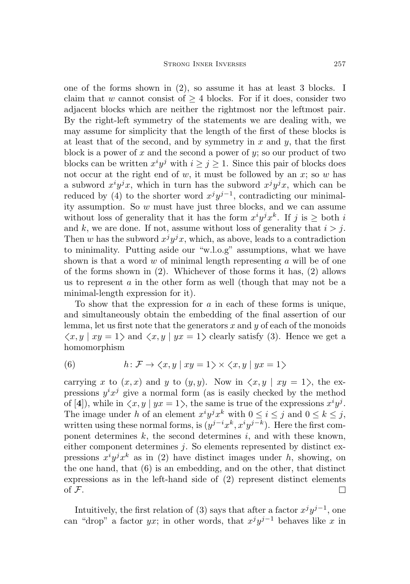one of the forms shown in [\(2\)](#page-3-0), so assume it has at least 3 blocks. I claim that w cannot consist of  $\geq 4$  blocks. For if it does, consider two adjacent blocks which are neither the rightmost nor the leftmost pair. By the right-left symmetry of the statements we are dealing with, we may assume for simplicity that the length of the first of these blocks is at least that of the second, and by symmetry in x and y, that the first block is a power of  $x$  and the second a power of  $y$ ; so our product of two blocks can be written  $x^i y^j$  with  $i \geq j \geq 1$ . Since this pair of blocks does not occur at the right end of  $w$ , it must be followed by an  $x$ ; so  $w$  has a subword  $x^i y^j x$ , which in turn has the subword  $x^j y^j x$ , which can be reduced by [\(4\)](#page-3-3) to the shorter word  $x^j y^{j-1}$ , contradicting our minimality assumption. So w must have just three blocks, and we can assume without loss of generality that it has the form  $x^i y^j x^k$ . If j is  $\geq$  both i and k, we are done. If not, assume without loss of generality that  $i > j$ . Then w has the subword  $x^j y^j x$ , which, as above, leads to a contradiction to minimality. Putting aside our "w.l.o.g" assumptions, what we have shown is that a word  $w$  of minimal length representing  $a$  will be of one of the forms shown in [\(2\)](#page-3-0). Whichever of those forms it has, [\(2\)](#page-3-0) allows us to represent  $a$  in the other form as well (though that may not be a minimal-length expression for it).

To show that the expression for  $a$  in each of these forms is unique, and simultaneously obtain the embedding of the final assertion of our lemma, let us first note that the generators  $x$  and  $y$  of each of the monoids  $\langle x, y | xy = 1 \rangle$  and  $\langle x, y | yx = 1 \rangle$  clearly satisfy [\(3\)](#page-3-1). Hence we get a homomorphism

<span id="page-4-0"></span>(6) 
$$
h: \mathcal{F} \to \langle x, y | xy = 1 \rangle \times \langle x, y | yx = 1 \rangle
$$

carrying x to  $(x, x)$  and y to  $(y, y)$ . Now in  $\langle x, y | xy = 1 \rangle$ , the expressions  $y^i x^j$  give a normal form (as is easily checked by the method of [[4](#page-30-2)]), while in  $\langle x, y | yx = 1 \rangle$ , the same is true of the expressions  $x^i y^j$ . The image under h of an element  $x^i y^j x^k$  with  $0 \le i \le j$  and  $0 \le k \le j$ , written using these normal forms, is  $(y^{j-i}x^k, x^iy^{j-k})$ . Here the first component determines  $k$ , the second determines  $i$ , and with these known, either component determines  $j$ . So elements represented by distinct expressions  $x^i y^j x^k$  as in [\(2\)](#page-3-0) have distinct images under h, showing, on the one hand, that [\(6\)](#page-4-0) is an embedding, and on the other, that distinct expressions as in the left-hand side of [\(2\)](#page-3-0) represent distinct elements of  $\mathcal F$ .  $\Box$ 

Intuitively, the first relation of [\(3\)](#page-3-1) says that after a factor  $x^j y^{j-1}$ , one can "drop" a factor  $yx$ ; in other words, that  $x^j y^{j-1}$  behaves like x in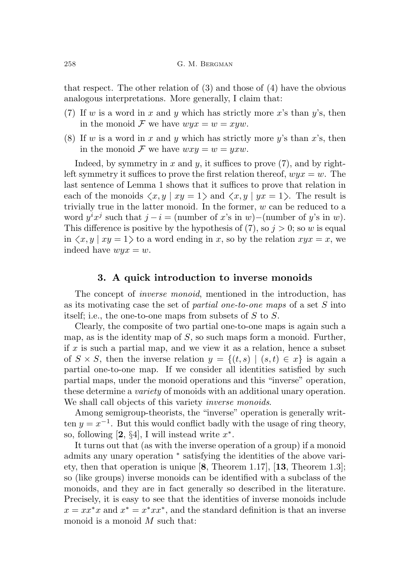that respect. The other relation of [\(3\)](#page-3-1) and those of [\(4\)](#page-3-3) have the obvious analogous interpretations. More generally, I claim that:

- <span id="page-5-1"></span>(7) If w is a word in x and y which has strictly more x's than y's, then in the monoid F we have  $wyx = w = xyw$ .
- (8) If w is a word in x and y which has strictly more y's than  $x$ 's, then in the monoid F we have  $wxy = w = yxw$ .

Indeed, by symmetry in x and y, it suffices to prove  $(7)$ , and by rightleft symmetry it suffices to prove the first relation thereof,  $wvx = w$ . The last sentence of Lemma [1](#page-3-4) shows that it suffices to prove that relation in each of the monoids  $\langle x, y | xy = 1 \rangle$  and  $\langle x, y | yx = 1 \rangle$ . The result is trivially true in the latter monoid. In the former,  $w$  can be reduced to a word  $y^i x^j$  such that  $j - i =$  (number of x's in w)–(number of y's in w). This difference is positive by the hypothesis of [\(7\),](#page-5-1) so  $j > 0$ ; so w is equal in  $\langle x, y | xy = 1 \rangle$  to a word ending in x, so by the relation  $xyx = x$ , we indeed have  $wyx = w$ .

#### 3. A quick introduction to inverse monoids

<span id="page-5-0"></span>The concept of *inverse monoid*, mentioned in the introduction, has as its motivating case the set of *partial one-to-one maps* of a set  $S$  into itself; i.e., the one-to-one maps from subsets of S to S.

Clearly, the composite of two partial one-to-one maps is again such a map, as is the identity map of  $S$ , so such maps form a monoid. Further, if  $x$  is such a partial map, and we view it as a relation, hence a subset of  $S \times S$ , then the inverse relation  $y = \{(t, s) | (s, t) \in x\}$  is again a partial one-to-one map. If we consider all identities satisfied by such partial maps, under the monoid operations and this "inverse" operation, these determine a *variety* of monoids with an additional unary operation. We shall call objects of this variety *inverse monoids*.

Among semigroup-theorists, the "inverse" operation is generally written  $y = x^{-1}$ . But this would conflict badly with the usage of ring theory, so, following [[2](#page-30-1), §4], I will instead write  $x^*$ .

It turns out that (as with the inverse operation of a group) if a monoid admits any unary operation <sup>∗</sup> satisfying the identities of the above variety, then that operation is unique [[8](#page-30-0), Theorem 1.17], [[13](#page-31-2), Theorem 1.3]; so (like groups) inverse monoids can be identified with a subclass of the monoids, and they are in fact generally so described in the literature. Precisely, it is easy to see that the identities of inverse monoids include  $x = xx^*x$  and  $x^* = x^*xx^*$ , and the standard definition is that an inverse monoid is a monoid  $M$  such that: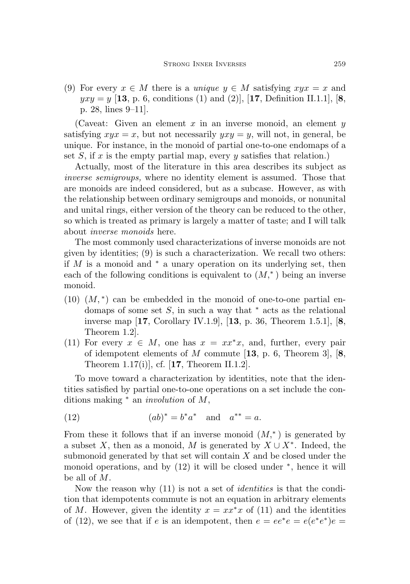<span id="page-6-0"></span>(9) For every  $x \in M$  there is a unique  $y \in M$  satisfying  $xyx = x$  and  $yxy = y$  [[13](#page-31-2), p. 6, conditions (1) and (2)], [[17](#page-31-1), Definition II.1.1], [[8](#page-30-0), p. 28, lines 9–11].

(Caveat: Given an element x in an inverse monoid, an element  $y$ satisfying  $xyx = x$ , but not necessarily  $yxy = y$ , will not, in general, be unique. For instance, in the monoid of partial one-to-one endomaps of a set  $S$ , if  $x$  is the empty partial map, every  $y$  satisfies that relation.)

Actually, most of the literature in this area describes its subject as inverse semigroups, where no identity element is assumed. Those that are monoids are indeed considered, but as a subcase. However, as with the relationship between ordinary semigroups and monoids, or nonunital and unital rings, either version of the theory can be reduced to the other, so which is treated as primary is largely a matter of taste; and I will talk about inverse monoids here.

The most commonly used characterizations of inverse monoids are not given by identities; [\(9\)](#page-6-0) is such a characterization. We recall two others: if  $M$  is a monoid and  $*$  a unary operation on its underlying set, then each of the following conditions is equivalent to  $(M,^*)$  being an inverse monoid.

- $(10)$   $(M,*)$  can be embedded in the monoid of one-to-one partial endomaps of some set  $S$ , in such a way that  $*$  acts as the relational inverse map [[17](#page-31-1), Corollary IV.1.9], [[13](#page-31-2), p. 36, Theorem 1.5.1], [[8](#page-30-0), Theorem 1.2].
- <span id="page-6-2"></span>(11) For every  $x \in M$ , one has  $x = xx^*x$ , and, further, every pair of idempotent elements of M commute  $[13, p. 6,$  $[13, p. 6,$  $[13, p. 6,$  Theorem 3,  $[8,$  $[8,$  $[8,$ Theorem 1.[17](#page-31-1)(i)], cf.  $[17,$  Theorem II.1.2].

To move toward a characterization by identities, note that the identities satisfied by partial one-to-one operations on a set include the conditions making <sup>∗</sup> an involution of M,

<span id="page-6-1"></span>(12) 
$$
(ab)^* = b^*a^*
$$
 and  $a^{**} = a$ .

From these it follows that if an inverse monoid  $(M,^*)$  is generated by a subset X, then as a monoid, M is generated by  $X \cup X^*$ . Indeed, the submonoid generated by that set will contain  $X$  and be closed under the monoid operations, and by [\(12\)](#page-6-1) it will be closed under <sup>∗</sup> , hence it will be all of M.

Now the reason why  $(11)$  is not a set of *identities* is that the condition that idempotents commute is not an equation in arbitrary elements of M. However, given the identity  $x = xx^*x$  of [\(11\)](#page-6-2) and the identities of [\(12\)](#page-6-1), we see that if e is an idempotent, then  $e = ee^*e = e(e^*e^*)e =$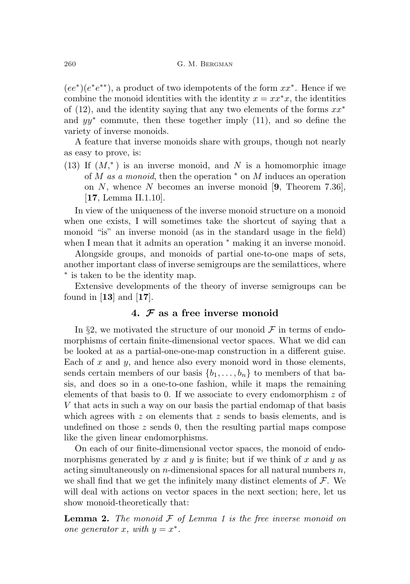$(ee^*)(e^*e^{**})$ , a product of two idempotents of the form  $xx^*$ . Hence if we combine the monoid identities with the identity  $x = xx^*x$ , the identities of [\(12\)](#page-6-1), and the identity saying that any two elements of the forms  $xx^*$ and  $yy^*$  commute, then these together imply  $(11)$ , and so define the variety of inverse monoids.

A feature that inverse monoids share with groups, though not nearly as easy to prove, is:

(13) If  $(M,^*)$  is an inverse monoid, and N is a homomorphic image of M as a monoid, then the operation  $*$  on M induces an operation on N, whence N becomes an inverse monoid  $[9,$  $[9,$  $[9,$  Theorem 7.36], [[17](#page-31-1), Lemma II.1.10].

In view of the uniqueness of the inverse monoid structure on a monoid when one exists, I will sometimes take the shortcut of saying that a monoid "is" an inverse monoid (as in the standard usage in the field) when I mean that it admits an operation <sup>∗</sup> making it an inverse monoid.

Alongside groups, and monoids of partial one-to-one maps of sets, another important class of inverse semigroups are the semilattices, where ∗ is taken to be the identity map.

Extensive developments of the theory of inverse semigroups can be found in  $[13]$  $[13]$  $[13]$  and  $[17]$  $[17]$  $[17]$ .

# 4.  $\mathcal F$  as a free inverse monoid

<span id="page-7-0"></span>In §[2,](#page-2-0) we motivated the structure of our monoid  $\mathcal F$  in terms of endomorphisms of certain finite-dimensional vector spaces. What we did can be looked at as a partial-one-one-map construction in a different guise. Each of x and  $y$ , and hence also every monoid word in those elements, sends certain members of our basis  $\{b_1, \ldots, b_n\}$  to members of that basis, and does so in a one-to-one fashion, while it maps the remaining elements of that basis to 0. If we associate to every endomorphism  $z$  of V that acts in such a way on our basis the partial endomap of that basis which agrees with z on elements that z sends to basis elements, and is undefined on those  $z$  sends 0, then the resulting partial maps compose like the given linear endomorphisms.

On each of our finite-dimensional vector spaces, the monoid of endomorphisms generated by x and y is finite; but if we think of x and y as acting simultaneously on *n*-dimensional spaces for all natural numbers  $n$ , we shall find that we get the infinitely many distinct elements of  $\mathcal{F}$ . We will deal with actions on vector spaces in the next section; here, let us show monoid-theoretically that:

**Lemma 2.** The monoid  $F$  of Lemma [1](#page-3-4) is the free inverse monoid on one generator x, with  $y = x^*$ .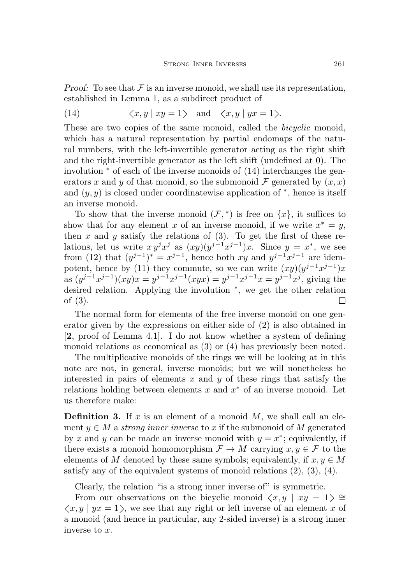Proof: To see that  $\mathcal F$  is an inverse monoid, we shall use its representation, established in Lemma [1,](#page-3-4) as a subdirect product of

<span id="page-8-0"></span>(14) 
$$
\langle x, y | xy = 1 \rangle
$$
 and  $\langle x, y | yx = 1 \rangle$ .

These are two copies of the same monoid, called the *bicyclic* monoid, which has a natural representation by partial endomaps of the natural numbers, with the left-invertible generator acting as the right shift and the right-invertible generator as the left shift (undefined at 0). The involution <sup>∗</sup> of each of the inverse monoids of [\(14\)](#page-8-0) interchanges the generators x and y of that monoid, so the submonoid F generated by  $(x, x)$ and  $(y, y)$  is closed under coordinatewise application of  $*$ , hence is itself an inverse monoid.

To show that the inverse monoid  $(\mathcal{F},^*)$  is free on  $\{x\}$ , it suffices to show that for any element x of an inverse monoid, if we write  $x^* = y$ , then x and y satisfy the relations of  $(3)$ . To get the first of these relations, let us write  $xy^jx^j$  as  $(xy)(y^{j-1}x^{j-1})x$ . Since  $y = x^*$ , we see from [\(12\)](#page-6-1) that  $(y^{j-1})^* = x^{j-1}$ , hence both xy and  $y^{j-1}x^{j-1}$  are idem-potent, hence by [\(11\)](#page-6-2) they commute, so we can write  $(xy)(y^{j-1}x^{j-1})x$ as  $(y^{j-1}x^{j-1})(xy)x = y^{j-1}x^{j-1}(xyx) = y^{j-1}x^{j-1}x = y^{j-1}x^j$ , giving the desired relation. Applying the involution <sup>∗</sup> , we get the other relation of [\(3\)](#page-3-1).  $\Box$ 

The normal form for elements of the free inverse monoid on one generator given by the expressions on either side of [\(2\)](#page-3-0) is also obtained in [[2](#page-30-1), proof of Lemma 4.1]. I do not know whether a system of defining monoid relations as economical as [\(3\)](#page-3-1) or [\(4\)](#page-3-3) has previously been noted.

The multiplicative monoids of the rings we will be looking at in this note are not, in general, inverse monoids; but we will nonetheless be interested in pairs of elements  $x$  and  $y$  of these rings that satisfy the relations holding between elements  $x$  and  $x^*$  of an inverse monoid. Let us therefore make:

**Definition 3.** If  $x$  is an element of a monoid  $M$ , we shall call an element  $y \in M$  a strong inner inverse to x if the submonoid of M generated by x and y can be made an inverse monoid with  $y = x^*$ ; equivalently, if there exists a monoid homomorphism  $\mathcal{F} \to M$  carrying  $x, y \in \mathcal{F}$  to the elements of M denoted by these same symbols; equivalently, if  $x, y \in M$ satisfy any of the equivalent systems of monoid relations  $(2)$ ,  $(3)$ ,  $(4)$ .

Clearly, the relation "is a strong inner inverse of" is symmetric.

From our observations on the bicyclic monoid  $\langle x, y | xy = 1 \rangle \cong$  $\langle x, y | yx = 1 \rangle$ , we see that any right or left inverse of an element x of a monoid (and hence in particular, any 2-sided inverse) is a strong inner inverse to x.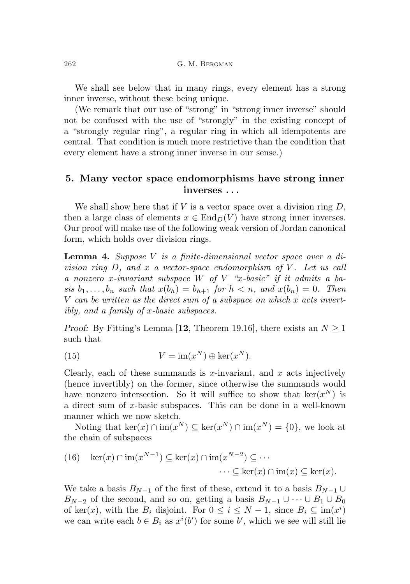We shall see below that in many rings, every element has a strong inner inverse, without these being unique.

(We remark that our use of "strong" in "strong inner inverse" should not be confused with the use of "strongly" in the existing concept of a "strongly regular ring", a regular ring in which all idempotents are central. That condition is much more restrictive than the condition that every element have a strong inner inverse in our sense.)

# 5. Many vector space endomorphisms have strong inner inverses . . .

We shall show here that if  $V$  is a vector space over a division ring  $D$ , then a large class of elements  $x \in \text{End}_D(V)$  have strong inner inverses. Our proof will make use of the following weak version of Jordan canonical form, which holds over division rings.

<span id="page-9-0"></span>Lemma 4. Suppose V is a finite-dimensional vector space over a division ring  $D$ , and x a vector-space endomorphism of V. Let us call a nonzero x-invariant subspace  $W$  of  $V$  "x-basic" if it admits a basis  $b_1, \ldots, b_n$  such that  $x(b_n) = b_{n+1}$  for  $h < n$ , and  $x(b_n) = 0$ . Then  $V$  can be written as the direct sum of a subspace on which  $x$  acts invertibly, and a family of x-basic subspaces.

*Proof:* By Fitting's Lemma [[12](#page-31-6), Theorem 19.16], there exists an  $N \geq 1$ such that

(15) 
$$
V = \text{im}(x^N) \oplus \text{ker}(x^N).
$$

Clearly, each of these summands is x-invariant, and x acts injectively (hence invertibly) on the former, since otherwise the summands would have nonzero intersection. So it will suffice to show that  $\ker(x^N)$  is a direct sum of x-basic subspaces. This can be done in a well-known manner which we now sketch.

Noting that  $\ker(x) \cap \text{im}(x^N) \subseteq \ker(x^N) \cap \text{im}(x^N) = \{0\}$ , we look at the chain of subspaces

(16) 
$$
\ker(x) \cap \operatorname{im}(x^{N-1}) \subseteq \ker(x) \cap \operatorname{im}(x^{N-2}) \subseteq \cdots
$$
  
 $\cdots \subseteq \ker(x) \cap \operatorname{im}(x) \subseteq \ker(x)$ .

We take a basis  $B_{N-1}$  of the first of these, extend it to a basis  $B_{N-1}$  ∪  $B_{N-2}$  of the second, and so on, getting a basis  $B_{N-1} \cup \cdots \cup B_1 \cup B_0$ of ker(x), with the  $B_i$  disjoint. For  $0 \le i \le N-1$ , since  $B_i \subseteq \text{im}(x^i)$ we can write each  $b \in B_i$  as  $x^i(b')$  for some b', which we see will still lie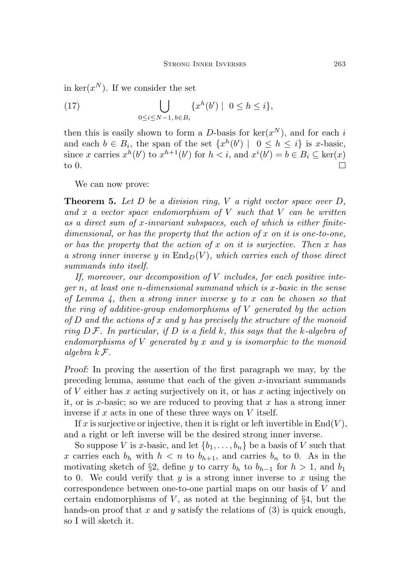in ker $(x^N)$ . If we consider the set

(17) 
$$
\bigcup_{0 \le i \le N-1, b \in B_i} \{x^h(b') \mid 0 \le h \le i\},\
$$

then this is easily shown to form a D-basis for  $\ker(x^N)$ , and for each i and each  $b \in B_i$ , the span of the set  $\{x^h(b') \mid 0 \leq h \leq i\}$  is x-basic, since x carries  $x^h(b')$  to  $x^{h+1}(b')$  for  $h < i$ , and  $x^i(b') = b \in B_i \subseteq \text{ker}(x)$ to 0.  $\Box$ 

We can now prove:

<span id="page-10-0"></span>**Theorem 5.** Let  $D$  be a division ring,  $V$  a right vector space over  $D$ , and x a vector space endomorphism of  $V$  such that  $V$  can be written as a direct sum of x-invariant subspaces, each of which is either finitedimensional, or has the property that the action of  $x$  on it is one-to-one, or has the property that the action of  $x$  on it is surjective. Then  $x$  has a strong inner inverse y in  $\text{End}_D(V)$ , which carries each of those direct summands into itself.

If, moreover, our decomposition of V includes, for each positive integer n, at least one n-dimensional summand which is x-basic in the sense of Lemma [4,](#page-9-0) then a strong inner inverse y to x can be chosen so that the ring of additive-group endomorphisms of  $V$  generated by the action of  $D$  and the actions of x and y has precisely the structure of the monoid ring  $D\mathcal{F}$ . In particular, if D is a field k, this says that the k-algebra of endomorphisms of  $V$  generated by  $x$  and  $y$  is isomorphic to the monoid algebra k F.

Proof: In proving the assertion of the first paragraph we may, by the preceding lemma, assume that each of the given  $x$ -invariant summands of  $V$  either has  $x$  acting surjectively on it, or has  $x$  acting injectively on it, or is x-basic; so we are reduced to proving that x has a strong inner inverse if x acts in one of these three ways on  $V$  itself.

If x is surjective or injective, then it is right or left invertible in  $End(V)$ , and a right or left inverse will be the desired strong inner inverse.

So suppose V is x-basic, and let  $\{b_1, \ldots, b_n\}$  be a basis of V such that x carries each  $b_h$  with  $h < n$  to  $b_{h+1}$ , and carries  $b_n$  to 0. As in the motivating sketch of §[2,](#page-2-0) define y to carry  $b_h$  to  $b_{h-1}$  for  $h > 1$ , and  $b_1$ to 0. We could verify that  $y$  is a strong inner inverse to  $x$  using the correspondence between one-to-one partial maps on our basis of V and certain endomorphisms of  $V$ , as noted at the beginning of  $\S 4$ , but the hands-on proof that x and y satisfy the relations of  $(3)$  is quick enough, so I will sketch it.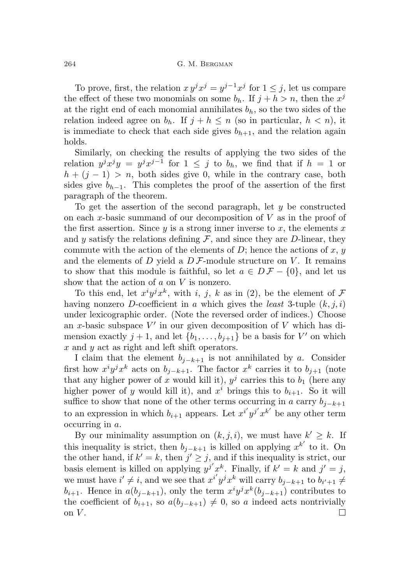264 G. M. BERGMAN

To prove, first, the relation  $xy^jx^j = y^{j-1}x^j$  for  $1 \leq j$ , let us compare the effect of these two monomials on some  $b_h$ . If  $j + h > n$ , then the  $x^j$ at the right end of each monomial annihilates  $b<sub>h</sub>$ , so the two sides of the relation indeed agree on  $b_h$ . If  $j + h \leq n$  (so in particular,  $h < n$ ), it is immediate to check that each side gives  $b_{h+1}$ , and the relation again holds.

Similarly, on checking the results of applying the two sides of the relation  $y^j x^j y = y^j x^{j-1}$  for  $1 \leq j$  to  $b_h$ , we find that if  $h = 1$  or  $h + (j - 1) > n$ , both sides give 0, while in the contrary case, both sides give  $b_{h-1}$ . This completes the proof of the assertion of the first paragraph of the theorem.

To get the assertion of the second paragraph, let  $y$  be constructed on each x-basic summand of our decomposition of  $V$  as in the proof of the first assertion. Since  $y$  is a strong inner inverse to  $x$ , the elements  $x$ and y satisfy the relations defining  $\mathcal F$ , and since they are D-linear, they commute with the action of the elements of  $D$ ; hence the actions of  $x, y$ and the elements of D yield a  $D\mathcal{F}$ -module structure on V. It remains to show that this module is faithful, so let  $a \in D\mathcal{F} - \{0\}$ , and let us show that the action of  $a$  on  $V$  is nonzero.

To this end, let  $x^i y^j x^k$ , with i, j, k as in [\(2\)](#page-3-0), be the element of  $\mathcal F$ having nonzero D-coefficient in a which gives the least 3-tuple  $(k, j, i)$ under lexicographic order. (Note the reversed order of indices.) Choose an x-basic subspace  $V'$  in our given decomposition of V which has dimension exactly  $j + 1$ , and let  $\{b_1, \ldots, b_{j+1}\}$  be a basis for V' on which x and y act as right and left shift operators.

I claim that the element  $b_{j-k+1}$  is not annihilated by a. Consider first how  $x^i y^j x^k$  acts on  $b_{j-k+1}$ . The factor  $x^k$  carries it to  $b_{j+1}$  (note that any higher power of x would kill it),  $y^j$  carries this to  $b_1$  (here any higher power of y would kill it), and  $x^i$  brings this to  $b_{i+1}$ . So it will suffice to show that none of the other terms occurring in a carry  $b_{j-k+1}$ to an expression in which  $b_{i+1}$  appears. Let  $x^{i'}y^{j'}x^{k'}$  be any other term occurring in a.

By our minimality assumption on  $(k, j, i)$ , we must have  $k' \geq k$ . If this inequality is strict, then  $b_{j-k+1}$  is killed on applying  $x^{k'}$  to it. On the other hand, if  $k' = k$ , then  $j' \geq j$ , and if this inequality is strict, our basis element is killed on applying  $y^{j'}x^k$ . Finally, if  $k' = k$  and  $j' = j$ , we must have  $i' \neq i$ , and we see that  $x^{i'}y^{j}x^{k}$  will carry  $b_{j-k+1}$  to  $b_{i'+1} \neq j$  $b_{i+1}$ . Hence in  $a(b_{j-k+1})$ , only the term  $x^i y^j x^k (b_{j-k+1})$  contributes to the coefficient of  $b_{i+1}$ , so  $a(b_{i-k+1}) \neq 0$ , so a indeed acts nontrivially on  $V$ .  $\Box$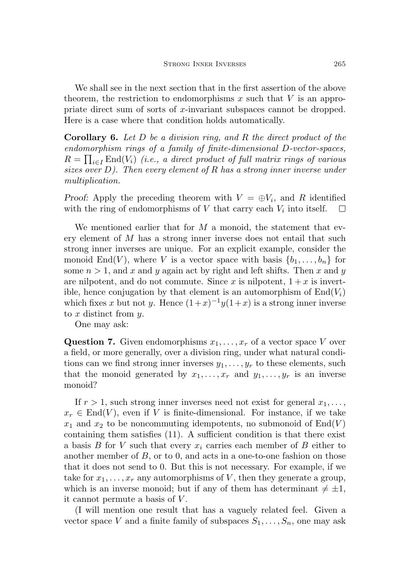We shall see in the next section that in the first assertion of the above theorem, the restriction to endomorphisms x such that  $V$  is an appropriate direct sum of sorts of x-invariant subspaces cannot be dropped. Here is a case where that condition holds automatically.

**Corollary 6.** Let  $D$  be a division ring, and  $R$  the direct product of the endomorphism rings of a family of finite-dimensional D-vector-spaces,  $R = \prod_{i \in I} \text{End}(V_i)$  (i.e., a direct product of full matrix rings of various sizes over  $D$ ). Then every element of R has a strong inner inverse under multiplication.

Proof: Apply the preceding theorem with  $V = \bigoplus V_i$ , and R identified with the ring of endomorphisms of  $V$  that carry each  $V_i$  into itself.  $\Box$ 

We mentioned earlier that for  $M$  a monoid, the statement that every element of M has a strong inner inverse does not entail that such strong inner inverses are unique. For an explicit example, consider the monoid End(V), where V is a vector space with basis  $\{b_1, \ldots, b_n\}$  for some  $n > 1$ , and x and y again act by right and left shifts. Then x and y are nilpotent, and do not commute. Since x is nilpotent,  $1 + x$  is invertible, hence conjugation by that element is an automorphism of  $End(V_i)$ which fixes x but not y. Hence  $(1+x)^{-1}y(1+x)$  is a strong inner inverse to  $x$  distinct from  $y$ .

One may ask:

**Question 7.** Given endomorphisms  $x_1, \ldots, x_r$  of a vector space V over a field, or more generally, over a division ring, under what natural conditions can we find strong inner inverses  $y_1, \ldots, y_r$  to these elements, such that the monoid generated by  $x_1, \ldots, x_r$  and  $y_1, \ldots, y_r$  is an inverse monoid?

If  $r > 1$ , such strong inner inverses need not exist for general  $x_1, \ldots,$  $x_r \in \text{End}(V)$ , even if V is finite-dimensional. For instance, if we take  $x_1$  and  $x_2$  to be noncommuting idempotents, no submonoid of  $End(V)$ containing them satisfies [\(11\).](#page-6-2) A sufficient condition is that there exist a basis B for V such that every  $x_i$  carries each member of B either to another member of B, or to 0, and acts in a one-to-one fashion on those that it does not send to 0. But this is not necessary. For example, if we take for  $x_1, \ldots, x_r$  any automorphisms of V, then they generate a group, which is an inverse monoid; but if any of them has determinant  $\neq \pm 1$ , it cannot permute a basis of  $V$ .

(I will mention one result that has a vaguely related feel. Given a vector space V and a finite family of subspaces  $S_1, \ldots, S_n$ , one may ask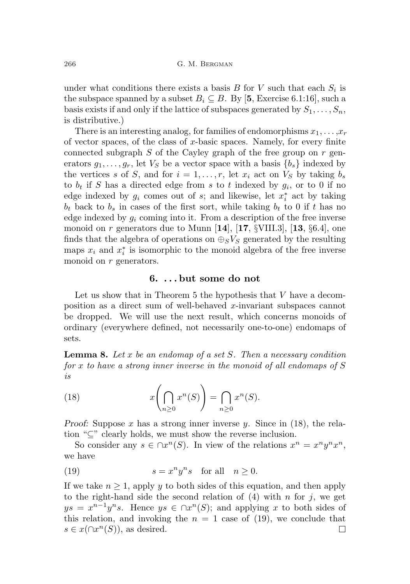under what conditions there exists a basis  $B$  for  $V$  such that each  $S_i$  is the subspace spanned by a subset  $B_i \subseteq B$ . By [[5](#page-30-3), Exercise 6.1:16], such a basis exists if and only if the lattice of subspaces generated by  $S_1, \ldots, S_n$ , is distributive.)

There is an interesting analog, for families of endomorphisms  $x_1, \ldots, x_r$ of vector spaces, of the class of x-basic spaces. Namely, for every finite connected subgraph  $S$  of the Cayley graph of the free group on  $r$  generators  $g_1, \ldots, g_r$ , let  $V_S$  be a vector space with a basis  $\{b_s\}$  indexed by the vertices s of S, and for  $i = 1, \ldots, r$ , let  $x_i$  act on  $V_S$  by taking  $b_s$ to  $b_t$  if S has a directed edge from s to t indexed by  $g_i$ , or to 0 if no edge indexed by  $g_i$  comes out of  $s$ ; and likewise, let  $x_i^*$  act by taking  $b_t$  back to  $b_s$  in cases of the first sort, while taking  $b_t$  to 0 if t has no edge indexed by  $g_i$  coming into it. From a description of the free inverse monoid on r generators due to Munn  $[14]$  $[14]$  $[14]$ ,  $[17, \S$  $[17, \S$  $[17, \S$ VIII.3],  $[13, \S6.4]$  $[13, \S6.4]$  $[13, \S6.4]$ , one finds that the algebra of operations on  $\bigoplus_{S}V_S$  generated by the resulting maps  $x_i$  and  $x_i^*$  is isomorphic to the monoid algebra of the free inverse monoid on r generators.

#### 6. . . . but some do not

Let us show that in Theorem [5](#page-10-0) the hypothesis that V have a decomposition as a direct sum of well-behaved x-invariant subspaces cannot be dropped. We will use the next result, which concerns monoids of ordinary (everywhere defined, not necessarily one-to-one) endomaps of sets.

<span id="page-13-2"></span>**Lemma 8.** Let x be an endomap of a set S. Then a necessary condition for x to have a strong inner inverse in the monoid of all endomaps of S is

<span id="page-13-0"></span>(18) 
$$
x\left(\bigcap_{n\geq 0} x^n(S)\right) = \bigcap_{n\geq 0} x^n(S).
$$

Proof: Suppose x has a strong inner inverse y. Since in  $(18)$ , the relation "⊆" clearly holds, we must show the reverse inclusion.

So consider any  $s \in \bigcap x^n(S)$ . In view of the relations  $x^n = x^n y^n x^n$ , we have

<span id="page-13-1"></span>(19) 
$$
s = x^n y^n s \quad \text{for all} \quad n \ge 0.
$$

If we take  $n \geq 1$ , apply y to both sides of this equation, and then apply to the right-hand side the second relation of  $(4)$  with n for j, we get  $ys = x^{n-1}y^ns$ . Hence  $ys \in \bigcap x^n(S)$ ; and applying x to both sides of this relation, and invoking the  $n = 1$  case of [\(19\)](#page-13-1), we conclude that  $s \in x(\bigcap x^n(S)),$  as desired.  $\Box$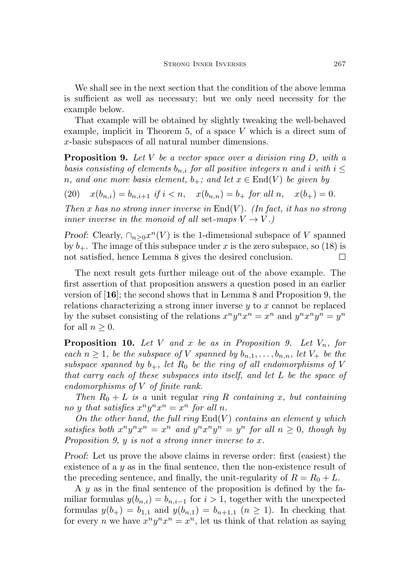We shall see in the next section that the condition of the above lemma is sufficient as well as necessary; but we only need necessity for the example below.

That example will be obtained by slightly tweaking the well-behaved example, implicit in Theorem [5,](#page-10-0) of a space  $V$  which is a direct sum of x-basic subspaces of all natural number dimensions.

<span id="page-14-0"></span>**Proposition 9.** Let V be a vector space over a division ring  $D$ , with a basis consisting of elements  $b_{n,i}$  for all positive integers n and i with  $i \leq$ n, and one more basis element,  $b_+$ ; and let  $x \in End(V)$  be given by

(20)  $x(b_{n,i}) = b_{n,i+1}$  if  $i < n$ ,  $x(b_{n,n}) = b_+$  for all  $n$ ,  $x(b_+) = 0$ .

Then x has no strong inner inverse in  $\text{End}(V)$ . (In fact, it has no strong inner inverse in the monoid of all set-maps  $V \rightarrow V$ .)

*Proof:* Clearly,  $\cap_{n\geq 0} x^n(V)$  is the 1-dimensional subspace of V spanned by  $b_{+}$ . The image of this subspace under x is the zero subspace, so [\(18\)](#page-13-0) is not satisfied, hence Lemma [8](#page-13-2) gives the desired conclusion.  $\Box$ 

The next result gets further mileage out of the above example. The first assertion of that proposition answers a question posed in an earlier version of [[16](#page-31-0)]; the second shows that in Lemma [8](#page-13-2) and Proposition [9,](#page-14-0) the relations characterizing a strong inner inverse  $y$  to x cannot be replaced by the subset consisting of the relations  $x^n y^n x^n = x^n$  and  $y^n x^n y^n = y^n$ for all  $n \geq 0$ .

<span id="page-14-1"></span>**Proposition 10.** Let V and x be as in Proposition [9.](#page-14-0) Let  $V_n$ , for each  $n \geq 1$ , be the subspace of V spanned by  $b_{n,1}, \ldots, b_{n,n}$ , let  $V_+$  be the subspace spanned by  $b_+$ , let  $R_0$  be the ring of all endomorphisms of V that carry each of these subspaces into itself, and let L be the space of endomorphisms of V of finite rank.

Then  $R_0 + L$  is a unit regular ring R containing x, but containing no y that satisfies  $x^n y^n x^n = x^n$  for all n.

On the other hand, the full ring  $End(V)$  contains an element y which satisfies both  $x^n y^n x^n = x^n$  and  $y^n x^n y^n = y^n$  for all  $n \geq 0$ , though by Proposition [9,](#page-14-0) y is not a strong inner inverse to x.

Proof: Let us prove the above claims in reverse order: first (easiest) the existence of a y as in the final sentence, then the non-existence result of the preceding sentence, and finally, the unit-regularity of  $R = R_0 + L$ .

A y as in the final sentence of the proposition is defined by the familiar formulas  $y(b_{n,i}) = b_{n,i-1}$  for  $i > 1$ , together with the unexpected formulas  $y(b_+) = b_{1,1}$  and  $y(b_{n,1}) = b_{n+1,1}$   $(n \ge 1)$ . In checking that for every *n* we have  $x^n y^n x^n = x^n$ , let us think of that relation as saying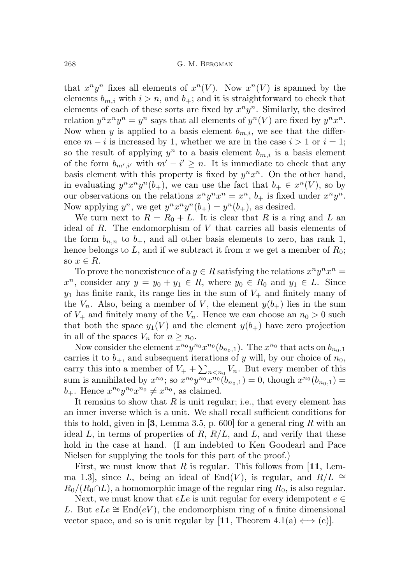that  $x^n y^n$  fixes all elements of  $x^n(V)$ . Now  $x^n(V)$  is spanned by the elements  $b_{m,i}$  with  $i > n$ , and  $b_{+}$ ; and it is straightforward to check that elements of each of these sorts are fixed by  $x^n y^n$ . Similarly, the desired relation  $y^n x^n y^n = y^n$  says that all elements of  $y^n(V)$  are fixed by  $y^n x^n$ . Now when y is applied to a basis element  $b_{m,i}$ , we see that the difference  $m - i$  is increased by 1, whether we are in the case  $i > 1$  or  $i = 1$ ; so the result of applying  $y^n$  to a basis element  $b_{m,i}$  is a basis element of the form  $b_{m',i'}$  with  $m'-i' \geq n$ . It is immediate to check that any basis element with this property is fixed by  $y^n x^n$ . On the other hand, in evaluating  $y^n x^n y^n (b_+)$ , we can use the fact that  $b_+ \in x^n(V)$ , so by our observations on the relations  $x^n y^n x^n = x^n$ ,  $b_+$  is fixed under  $x^n y^n$ . Now applying  $y^n$ , we get  $y^n x^n y^n (b_{+}) = y^n (b_{+})$ , as desired.

We turn next to  $R = R_0 + L$ . It is clear that R is a ring and L an ideal of R. The endomorphism of V that carries all basis elements of the form  $b_{n,n}$  to  $b_{+}$ , and all other basis elements to zero, has rank 1, hence belongs to L, and if we subtract it from x we get a member of  $R_0$ ; so  $x \in R$ .

To prove the nonexistence of a  $y \in R$  satisfying the relations  $x^n y^n x^n =$  $x^n$ , consider any  $y = y_0 + y_1 \in R$ , where  $y_0 \in R_0$  and  $y_1 \in L$ . Since  $y_1$  has finite rank, its range lies in the sum of  $V_+$  and finitely many of the  $V_n$ . Also, being a member of V, the element  $y(b_+)$  lies in the sum of  $V_+$  and finitely many of the  $V_n$ . Hence we can choose an  $n_0 > 0$  such that both the space  $y_1(V)$  and the element  $y(b_+)$  have zero projection in all of the spaces  $V_n$  for  $n \geq n_0$ .

Now consider the element  $x^{n_0}y^{n_0}x^{n_0}(b_{n_0,1})$ . The  $x^{n_0}$  that acts on  $b_{n_0,1}$ carries it to  $b_+$ , and subsequent iterations of y will, by our choice of  $n_0$ , carry this into a member of  $V_+ + \sum_{n \lt n_0} V_n$ . But every member of this sum is annihilated by  $x^{n_0}$ ; so  $x^{n_0}y^{n_0}x^{n_0}(b_{n_0,1})=0$ , though  $x^{n_0}(b_{n_0,1})=0$  $b_+$ . Hence  $x^{n_0}y^{n_0}x^{n_0} \neq x^{n_0}$ , as claimed.

It remains to show that  $R$  is unit regular; i.e., that every element has an inner inverse which is a unit. We shall recall sufficient conditions for this to hold, given in [[3](#page-30-4), Lemma 3.5, p. 600] for a general ring  $R$  with an ideal L, in terms of properties of R,  $R/L$ , and L, and verify that these hold in the case at hand. (I am indebted to Ken Goodearl and Pace Nielsen for supplying the tools for this part of the proof.)

First, we must know that R is regular. This follows from  $[11, \text{ Lem-}$  $[11, \text{ Lem-}$  $[11, \text{ Lem-}$ ma 1.3, since L, being an ideal of End(V), is regular, and  $R/L \cong$  $R_0/(R_0 \cap L)$ , a homomorphic image of the regular ring  $R_0$ , is also regular.

Next, we must know that  $eLe$  is unit regular for every idempotent  $e \in$ L. But  $eLe \cong \text{End}(eV)$ , the endomorphism ring of a finite dimensional vector space, and so is unit regular by [[11](#page-31-8), Theorem 4.1(a)  $\Longleftrightarrow$  (c)].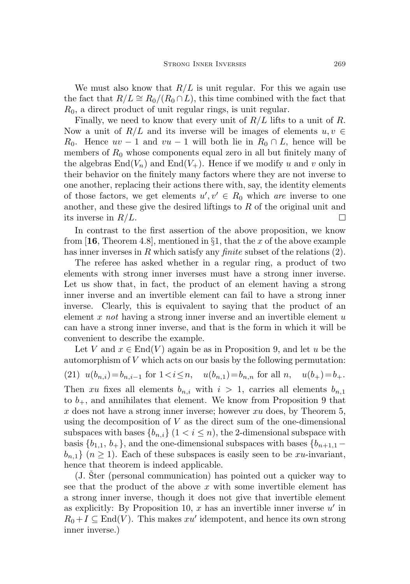We must also know that  $R/L$  is unit regular. For this we again use the fact that  $R/L \cong R_0/(R_0 \cap L)$ , this time combined with the fact that  $R_0$ , a direct product of unit regular rings, is unit regular.

Finally, we need to know that every unit of  $R/L$  lifts to a unit of R. Now a unit of  $R/L$  and its inverse will be images of elements  $u, v \in$ R<sub>0</sub>. Hence  $uv - 1$  and  $vu - 1$  will both lie in  $R_0 \cap L$ , hence will be members of  $R_0$  whose components equal zero in all but finitely many of the algebras  $End(V_n)$  and  $End(V_+)$ . Hence if we modify u and v only in their behavior on the finitely many factors where they are not inverse to one another, replacing their actions there with, say, the identity elements of those factors, we get elements  $u', v' \in R_0$  which are inverse to one another, and these give the desired liftings to R of the original unit and its inverse in  $R/L$ .  $\Box$ 

In contrast to the first assertion of the above proposition, we know from [[16](#page-31-0), Theorem 4.8], mentioned in  $\S1$ , that the x of the above example has inner inverses in R which satisfy any *finite* subset of the relations  $(2)$ .

The referee has asked whether in a regular ring, a product of two elements with strong inner inverses must have a strong inner inverse. Let us show that, in fact, the product of an element having a strong inner inverse and an invertible element can fail to have a strong inner inverse. Clearly, this is equivalent to saying that the product of an element  $x$  not having a strong inner inverse and an invertible element  $u$ can have a strong inner inverse, and that is the form in which it will be convenient to describe the example.

Let V and  $x \in End(V)$  again be as in Proposition [9,](#page-14-0) and let u be the automorphism of  $V$  which acts on our basis by the following permutation: (21)  $u(b_{n,i})=b_{n,i-1}$  for  $1 < i \leq n$ ,  $u(b_{n,1})=b_{n,n}$  for all  $n, u(b_{+})=b_{+}$ . Then xu fixes all elements  $b_{n,i}$  with  $i > 1$ , carries all elements  $b_{n,1}$ to  $b_{+}$ , and annihilates that element. We know from Proposition [9](#page-14-0) that x does not have a strong inner inverse; however  $xu$  does, by Theorem [5,](#page-10-0) using the decomposition of  $V$  as the direct sum of the one-dimensional subspaces with bases  $\{b_{n,i}\}\ (1 \leq i \leq n)$ , the 2-dimensional subspace with basis  ${b_{1,1}, b_+}$ , and the one-dimensional subspaces with bases  ${b_{n+1,1}}$  $b_{n,1}$   $(n \geq 1)$ . Each of these subspaces is easily seen to be xu-invariant, hence that theorem is indeed applicable.

 $(J.$  Ster (personal communication) has pointed out a quicker way to see that the product of the above  $x$  with some invertible element has a strong inner inverse, though it does not give that invertible element as explicitly: By Proposition [10,](#page-14-1)  $x$  has an invertible inner inverse  $u'$  in  $R_0 + I \subseteq End(V)$ . This makes  $xu'$  idempotent, and hence its own strong inner inverse.)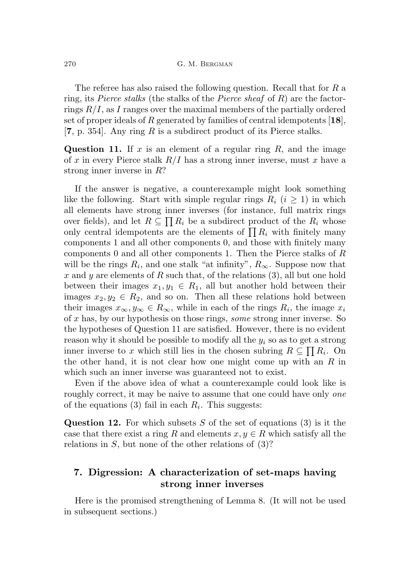The referee has also raised the following question. Recall that for R a ring, its *Pierce stalks* (the stalks of the *Pierce sheaf* of  $R$ ) are the factorrings  $R/I$ , as I ranges over the maximal members of the partially ordered set of proper ideals of R generated by families of central idempotents  $[18]$  $[18]$  $[18]$ , [[7](#page-30-5), p. 354]. Any ring R is a subdirect product of its Pierce stalks.

<span id="page-17-0"></span>Question 11. If x is an element of a regular ring R, and the image of x in every Pierce stalk  $R/I$  has a strong inner inverse, must x have a strong inner inverse in R?

If the answer is negative, a counterexample might look something like the following. Start with simple regular rings  $R_i$   $(i \geq 1)$  in which all elements have strong inner inverses (for instance, full matrix rings over fields), and let  $R \subseteq \prod R_i$  be a subdirect product of the  $R_i$  whose only central idempotents are the elements of  $\prod R_i$  with finitely many components 1 and all other components 0, and those with finitely many components 0 and all other components 1. Then the Pierce stalks of  $R$ will be the rings  $R_i$ , and one stalk "at infinity",  $R_\infty$ . Suppose now that x and y are elements of R such that, of the relations  $(3)$ , all but one hold between their images  $x_1, y_1 \in R_1$ , all but another hold between their images  $x_2, y_2 \in R_2$ , and so on. Then all these relations hold between their images  $x_{\infty}, y_{\infty} \in R_{\infty}$ , while in each of the rings  $R_i$ , the image  $x_i$ of x has, by our hypothesis on those rings, some strong inner inverse. So the hypotheses of Question [11](#page-17-0) are satisfied. However, there is no evident reason why it should be possible to modify all the  $y_i$  so as to get a strong inner inverse to x which still lies in the chosen subring  $R \subseteq \prod R_i$ . On the other hand, it is not clear how one might come up with an  $R$  in which such an inner inverse was guaranteed not to exist.

Even if the above idea of what a counterexample could look like is roughly correct, it may be naive to assume that one could have only *one* of the equations  $(3)$  fail in each  $R_i$ . This suggests:

Question 12. For which subsets S of the set of equations  $(3)$  is it the case that there exist a ring R and elements  $x, y \in R$  which satisfy all the relations in  $S$ , but none of the other relations of  $(3)$ ?

# 7. Digression: A characterization of set-maps having strong inner inverses

Here is the promised strengthening of Lemma [8.](#page-13-2) (It will not be used in subsequent sections.)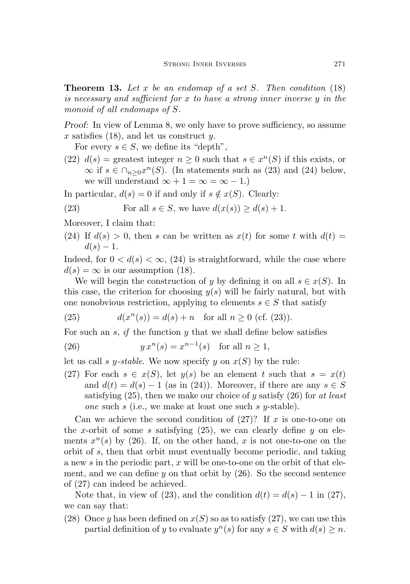<span id="page-18-6"></span>**Theorem 13.** Let x be an endomap of a set S. Then condition  $(18)$ is necessary and sufficient for x to have a strong inner inverse y in the monoid of all endomaps of S.

Proof: In view of Lemma [8,](#page-13-2) we only have to prove sufficiency, so assume x satisfies  $(18)$ , and let us construct y.

For every  $s \in S$ , we define its "depth",

(22)  $d(s)$  = greatest integer  $n \geq 0$  such that  $s \in x^{n}(S)$  if this exists, or  $\infty$  if  $s \in \bigcap_{n\geq 0} x^n(S)$ . (In statements such as [\(23\)](#page-18-0) and [\(24\)](#page-18-1) below, we will understand  $\infty + 1 = \infty = \infty - 1$ .

In particular,  $d(s) = 0$  if and only if  $s \notin x(S)$ . Clearly:

<span id="page-18-0"></span>(23) For all 
$$
s \in S
$$
, we have  $d(x(s)) \ge d(s) + 1$ .

Moreover, I claim that:

<span id="page-18-1"></span>(24) If  $d(s) > 0$ , then s can be written as  $x(t)$  for some t with  $d(t) =$  $d(s) - 1.$ 

Indeed, for  $0 < d(s) < \infty$ , [\(24\)](#page-18-1) is straightforward, while the case where  $d(s) = \infty$  is our assumption [\(18\)](#page-13-0).

We will begin the construction of y by defining it on all  $s \in x(S)$ . In this case, the criterion for choosing  $y(s)$  will be fairly natural, but with one nonobvious restriction, applying to elements  $s \in S$  that satisfy

<span id="page-18-2"></span>(25) 
$$
d(x^{n}(s)) = d(s) + n \text{ for all } n \ge 0 \text{ (cf. (23))}.
$$

For such an s, if the function  $y$  that we shall define below satisfies

<span id="page-18-3"></span>(26) 
$$
y x^n(s) = x^{n-1}(s) \text{ for all } n \ge 1,
$$

let us call s y-stable. We now specify y on  $x(S)$  by the rule:

<span id="page-18-4"></span>(27) For each  $s \in x(S)$ , let  $y(s)$  be an element t such that  $s = x(t)$ and  $d(t) = d(s) - 1$  (as in [\(24\)\)](#page-18-1). Moreover, if there are any  $s \in S$ satisfying  $(25)$ , then we make our choice of y satisfy  $(26)$  for at least one such s (i.e., we make at least one such s y-stable).

Can we achieve the second condition of  $(27)$ ? If x is one-to-one on the x-orbit of some s satisfying  $(25)$ , we can clearly define y on elements  $x^n(s)$  by [\(26\)](#page-18-3). If, on the other hand, x is not one-to-one on the orbit of s, then that orbit must eventually become periodic, and taking a new s in the periodic part, x will be one-to-one on the orbit of that element, and we can define  $y$  on that orbit by  $(26)$ . So the second sentence of [\(27\)](#page-18-4) can indeed be achieved.

Note that, in view of [\(23\)](#page-18-0), and the condition  $d(t) = d(s) - 1$  in [\(27\),](#page-18-4) we can say that:

<span id="page-18-5"></span>(28) Once y has been defined on  $x(S)$  so as to satisfy [\(27\),](#page-18-4) we can use this partial definition of y to evaluate  $y^{n}(s)$  for any  $s \in S$  with  $d(s) \geq n$ .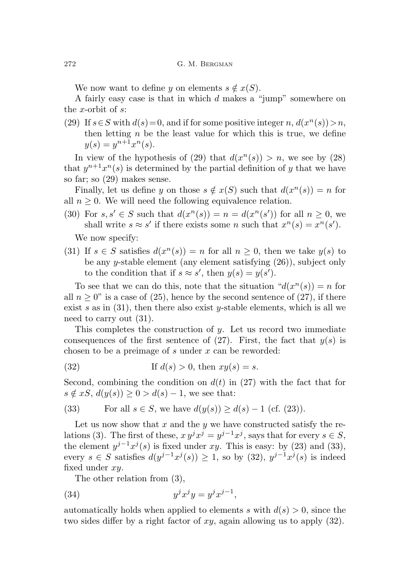We now want to define y on elements  $s \notin x(S)$ .

A fairly easy case is that in which d makes a "jump" somewhere on the x-orbit of  $s$ :

<span id="page-19-0"></span>(29) If  $s \in S$  with  $d(s) = 0$ , and if for some positive integer n,  $d(x^n(s)) > n$ , then letting  $n$  be the least value for which this is true, we define  $y(s) = y^{n+1}x^n(s).$ 

In view of the hypothesis of [\(29\)](#page-19-0) that  $d(x^n(s)) > n$ , we see by [\(28\)](#page-18-5) that  $y^{n+1}x^n(s)$  is determined by the partial definition of y that we have so far; so [\(29\)](#page-19-0) makes sense.

Finally, let us define y on those  $s \notin x(S)$  such that  $d(x^n(s)) = n$  for all  $n \geq 0$ . We will need the following equivalence relation.

(30) For  $s, s' \in S$  such that  $d(x^n(s)) = n = d(x^n(s'))$  for all  $n \geq 0$ , we shall write  $s \approx s'$  if there exists some n such that  $x^n(s) = x^n(s')$ .

We now specify:

<span id="page-19-1"></span>(31) If  $s \in S$  satisfies  $d(x^n(s)) = n$  for all  $n \geq 0$ , then we take  $y(s)$  to be any y-stable element (any element satisfying [\(26\)](#page-18-3)), subject only to the condition that if  $s \approx s'$ , then  $y(s) = y(s')$ .

To see that we can do this, note that the situation  $d(x^n(s)) = n$  for all  $n \geq 0$ " is a case of [\(25\)](#page-18-2), hence by the second sentence of [\(27\),](#page-18-4) if there exist s as in  $(31)$ , then there also exist y-stable elements, which is all we need to carry out [\(31\).](#page-19-1)

This completes the construction of y. Let us record two immediate consequences of the first sentence of [\(27\).](#page-18-4) First, the fact that  $y(s)$  is chosen to be a preimage of s under  $x$  can be reworded:

<span id="page-19-3"></span>(32) If 
$$
d(s) > 0
$$
, then  $xy(s) = s$ .

Second, combining the condition on  $d(t)$  in [\(27\)](#page-18-4) with the fact that for  $s \notin xS$ ,  $d(y(s)) \geq 0 > d(s) - 1$ , we see that:

<span id="page-19-2"></span>(33) For all 
$$
s \in S
$$
, we have  $d(y(s)) \ge d(s) - 1$  (cf. (23)).

Let us now show that  $x$  and the  $y$  we have constructed satisfy the re-lations [\(3\)](#page-3-1). The first of these,  $xy^{j}x^{j} = y^{j-1}x^{j}$ , says that for every  $s \in S$ , the element  $y^{j-1}x^{j}(s)$  is fixed under xy. This is easy: by [\(23\)](#page-18-0) and [\(33\)](#page-19-2), every  $s \in S$  satisfies  $d(y^{j-1}x^{j}(s)) \geq 1$ , so by [\(32\)](#page-19-3),  $y^{j-1}x^{j}(s)$  is indeed fixed under xy.

<span id="page-19-4"></span>The other relation from [\(3\)](#page-3-1),

$$
(34) \t\t yjxjy = yjxj-1,
$$

automatically holds when applied to elements s with  $d(s) > 0$ , since the two sides differ by a right factor of  $xy$ , again allowing us to apply  $(32)$ .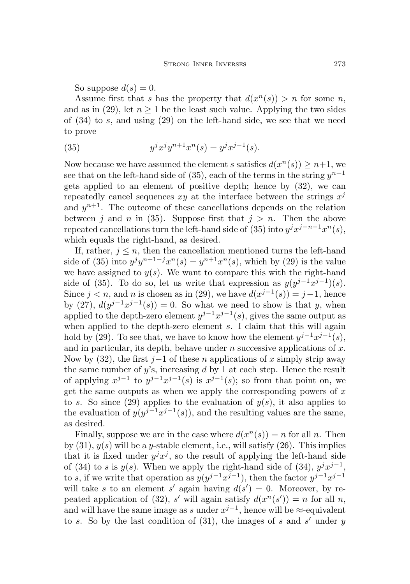So suppose  $d(s) = 0$ .

Assume first that s has the property that  $d(x^n(s)) > n$  for some n, and as in [\(29\),](#page-19-0) let  $n \geq 1$  be the least such value. Applying the two sides of [\(34\)](#page-19-4) to s, and using [\(29\)](#page-19-0) on the left-hand side, we see that we need to prove

<span id="page-20-0"></span>(35) 
$$
y^{j}x^{j}y^{n+1}x^{n}(s) = y^{j}x^{j-1}(s).
$$

Now because we have assumed the element s satisfies  $d(x^n(s)) \geq n+1$ , we see that on the left-hand side of [\(35\)](#page-20-0), each of the terms in the string  $y^{n+1}$ gets applied to an element of positive depth; hence by [\(32\)](#page-19-3), we can repeatedly cancel sequences  $xy$  at the interface between the strings  $x^j$ and  $y^{n+1}$ . The outcome of these cancellations depends on the relation between j and n in [\(35\)](#page-20-0). Suppose first that  $j > n$ . Then the above repeated cancellations turn the left-hand side of [\(35\)](#page-20-0) into  $y^j x^{j-n-1} x^n(s)$ , which equals the right-hand, as desired.

If, rather,  $j \leq n$ , then the cancellation mentioned turns the left-hand side of [\(35\)](#page-20-0) into  $y^j y^{n+1-j} x^n(s) = y^{n+1} x^n(s)$ , which by [\(29\)](#page-19-0) is the value we have assigned to  $y(s)$ . We want to compare this with the right-hand side of [\(35\)](#page-20-0). To do so, let us write that expression as  $y(y^{j-1}x^{j-1})(s)$ . Since  $j < n$ , and n is chosen as in [\(29\),](#page-19-0) we have  $d(x^{j-1}(s)) = j-1$ , hence by [\(27\),](#page-18-4)  $d(y^{j-1}x^{j-1}(s)) = 0$ . So what we need to show is that y, when applied to the depth-zero element  $y^{j-1}x^{j-1}(s)$ , gives the same output as when applied to the depth-zero element s. I claim that this will again hold by [\(29\).](#page-19-0) To see that, we have to know how the element  $y^{j-1}x^{j-1}(s)$ , and in particular, its depth, behave under  $n$  successive applications of  $x$ . Now by [\(32\)](#page-19-3), the first  $j-1$  of these n applications of x simply strip away the same number of  $y$ 's, increasing  $d$  by 1 at each step. Hence the result of applying  $x^{j-1}$  to  $y^{j-1}x^{j-1}(s)$  is  $x^{j-1}(s)$ ; so from that point on, we get the same outputs as when we apply the corresponding powers of  $x$ to s. So since [\(29\)](#page-19-0) applies to the evaluation of  $y(s)$ , it also applies to the evaluation of  $y(y^{j-1}x^{j-1}(s))$ , and the resulting values are the same, as desired.

Finally, suppose we are in the case where  $d(x^n(s)) = n$  for all n. Then by  $(31)$ ,  $y(s)$  will be a y-stable element, i.e., will satisfy  $(26)$ . This implies that it is fixed under  $y^j x^j$ , so the result of applying the left-hand side of [\(34\)](#page-19-4) to s is  $y(s)$ . When we apply the right-hand side of (34),  $y^{j}x^{j-1}$ , to s, if we write that operation as  $y(y^{j-1}x^{j-1})$ , then the factor  $y^{j-1}x^{j-1}$ will take s to an element s' again having  $d(s') = 0$ . Moreover, by re-peated application of [\(32\)](#page-19-3), s' will again satisfy  $d(x^n(s)) = n$  for all n, and will have the same image as s under  $x^{j-1}$ , hence will be  $\approx$ -equivalent to s. So by the last condition of  $(31)$ , the images of s and s' under y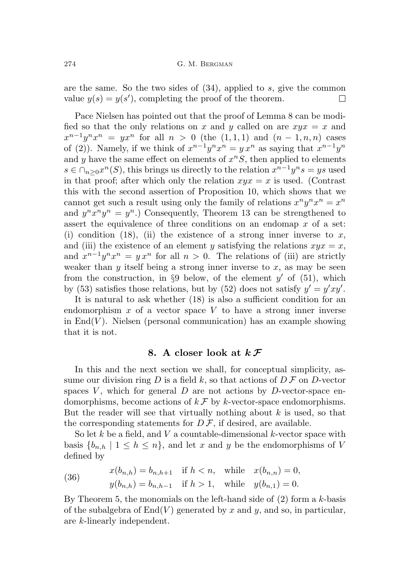are the same. So the two sides of [\(34\)](#page-19-4), applied to s, give the common value  $y(s) = y(s')$ , completing the proof of the theorem.  $\Box$ 

Pace Nielsen has pointed out that the proof of Lemma [8](#page-13-2) can be modified so that the only relations on x and y called on are  $xyx = x$  and  $x^{n-1}y^{n}x^{n} = yx^{n}$  for all  $n > 0$  (the  $(1,1,1)$  and  $(n-1,n,n)$  cases of [\(2\)](#page-3-0)). Namely, if we think of  $x^{n-1}y^{n}x^{n} = y x^{n}$  as saying that  $x^{n-1}y^{n}$ and y have the same effect on elements of  $x^nS$ , then applied to elements  $s \in \bigcap_{n\geq 0} x^n(S)$ , this brings us directly to the relation  $x^{n-1}y^n s = ys$  used in that proof; after which only the relation  $xyx = x$  is used. (Contrast this with the second assertion of Proposition [10,](#page-14-1) which shows that we cannot get such a result using only the family of relations  $x^n y^n x^n = x^n$ and  $y^n x^n y^n = y^n$ .) Consequently, Theorem [13](#page-18-6) can be strengthened to assert the equivalence of three conditions on an endomap x of a set: (i) condition [\(18\)](#page-13-0), (ii) the existence of a strong inner inverse to  $x$ , and (iii) the existence of an element y satisfying the relations  $xyx = x$ , and  $x^{n-1}y^{n}x^{n} = yx^{n}$  for all  $n > 0$ . The relations of (iii) are strictly weaker than  $y$  itself being a strong inner inverse to  $x$ , as may be seen from the construction, in §[9](#page-27-0) below, of the element  $y'$  of [\(51\)](#page-29-0), which by [\(53\)](#page-29-1) satisfies those relations, but by [\(52\)](#page-29-2) does not satisfy  $y' = y'xy'$ .

It is natural to ask whether [\(18\)](#page-13-0) is also a sufficient condition for an endomorphism  $x$  of a vector space  $V$  to have a strong inner inverse in  $\text{End}(V)$ . Nielsen (personal communication) has an example showing that it is not.

# 8. A closer look at  $k \mathcal{F}$

<span id="page-21-1"></span>In this and the next section we shall, for conceptual simplicity, assume our division ring  $D$  is a field  $k$ , so that actions of  $D \mathcal{F}$  on  $D$ -vector spaces  $V$ , which for general  $D$  are not actions by  $D$ -vector-space endomorphisms, become actions of  $k \mathcal{F}$  by k-vector-space endomorphisms. But the reader will see that virtually nothing about  $k$  is used, so that the corresponding statements for  $D\mathcal{F}$ , if desired, are available.

So let k be a field, and V a countable-dimensional k-vector space with basis  $\{b_{n,h} \mid 1 \leq h \leq n\}$ , and let x and y be the endomorphisms of V defined by

<span id="page-21-0"></span>(36) 
$$
x(b_{n,h}) = b_{n,h+1} \text{ if } h < n, \text{ while } x(b_{n,n}) = 0,
$$

$$
y(b_{n,h}) = b_{n,h-1} \text{ if } h > 1, \text{ while } y(b_{n,1}) = 0.
$$

By Theorem [5,](#page-10-0) the monomials on the left-hand side of  $(2)$  form a k-basis of the subalgebra of  $End(V)$  generated by x and y, and so, in particular, are k-linearly independent.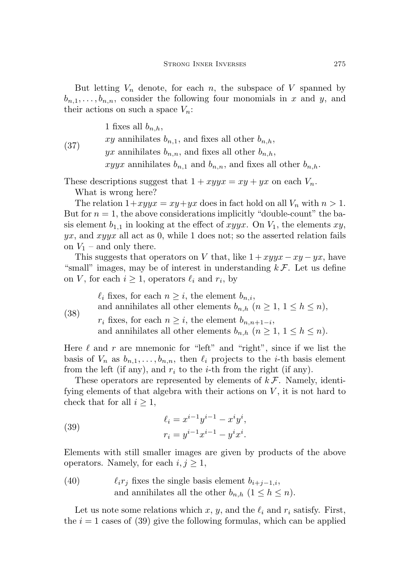But letting  $V_n$  denote, for each n, the subspace of V spanned by  $b_{n,1}, \ldots, b_{n,n}$ , consider the following four monomials in x and y, and their actions on such a space  $V_n$ :

1 fixes all  $b_{n,h}$ ,

(37) xy annihilates  $b_{n,1}$ , and fixes all other  $b_{n,h}$ , yx annihilates  $b_{n,n}$ , and fixes all other  $b_{n,h}$ ,

xyyx annihilates  $b_{n,1}$  and  $b_{n,n}$ , and fixes all other  $b_{n,h}$ .

These descriptions suggest that  $1 + xyyx = xy + yx$  on each  $V_n$ . What is wrong here?

The relation  $1+xyyx = xy+yx$  does in fact hold on all  $V_n$  with  $n > 1$ . But for  $n = 1$ , the above considerations implicitly "double-count" the basis element  $b_{1,1}$  in looking at the effect of xyyx. On  $V_1$ , the elements xy,  $yx$ , and  $xyyx$  all act as 0, while 1 does not; so the asserted relation fails on  $V_1$  – and only there.

This suggests that operators on V that, like  $1 + xyyx - xy - yx$ , have "small" images, may be of interest in understanding  $k \mathcal{F}$ . Let us define on V, for each  $i \geq 1$ , operators  $\ell_i$  and  $r_i$ , by

 $\ell_i$  fixes, for each  $n \geq i$ , the element  $b_{n,i}$ ,

and annihilates all other elements  $b_{n,h}$   $(n \geq 1, 1 \leq h \leq n)$ ,

(38)

<span id="page-22-1"></span> $r_i$  fixes, for each  $n \geq i$ , the element  $b_{n,n+1-i}$ , and annihilates all other elements  $b_{n,h}$   $(n \geq 1, 1 \leq h \leq n)$ .

Here  $\ell$  and  $r$  are mnemonic for "left" and "right", since if we list the basis of  $V_n$  as  $b_{n,1}, \ldots, b_{n,n}$ , then  $\ell_i$  projects to the *i*-th basis element from the left (if any), and  $r_i$  to the *i*-th from the right (if any).

These operators are represented by elements of  $k \mathcal{F}$ . Namely, identifying elements of that algebra with their actions on  $V$ , it is not hard to check that for all  $i \geq 1$ ,

<span id="page-22-0"></span>(39) 
$$
\ell_i = x^{i-1}y^{i-1} - x^iy^i,
$$

$$
r_i = y^{i-1}x^{i-1} - y^ix^i.
$$

Elements with still smaller images are given by products of the above operators. Namely, for each  $i, j \geq 1$ ,

(40)  $\ell_i r_j$  fixes the single basis element  $b_{i+j-1,i}$ , and annihilates all the other  $b_{n,h}$   $(1 \leq h \leq n)$ .

Let us note some relations which x, y, and the  $\ell_i$  and  $r_i$  satisfy. First, the  $i = 1$  cases of [\(39\)](#page-22-0) give the following formulas, which can be applied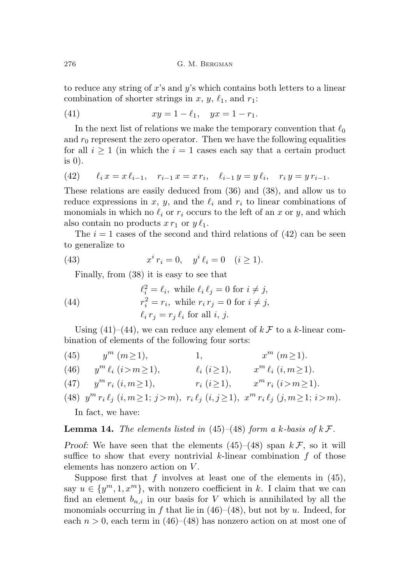to reduce any string of  $x$ 's and  $y$ 's which contains both letters to a linear combination of shorter strings in x, y,  $\ell_1$ , and  $r_1$ :

<span id="page-23-1"></span>(41) 
$$
xy = 1 - \ell_1, \quad yx = 1 - r_1.
$$

In the next list of relations we make the temporary convention that  $\ell_0$ and  $r_0$  represent the zero operator. Then we have the following equalities for all  $i \geq 1$  (in which the  $i = 1$  cases each say that a certain product is  $0$ ).

<span id="page-23-0"></span>(42) 
$$
\ell_i x = x \ell_{i-1}, \quad r_{i-1} x = x r_i, \quad \ell_{i-1} y = y \ell_i, \quad r_i y = y r_{i-1}.
$$

These relations are easily deduced from [\(36\)](#page-21-0) and [\(38\)](#page-22-1), and allow us to reduce expressions in x, y, and the  $\ell_i$  and  $r_i$  to linear combinations of monomials in which no  $\ell_i$  or  $r_i$  occurs to the left of an x or y, and which also contain no products  $x r_1$  or  $y \ell_1$ .

The  $i = 1$  cases of the second and third relations of  $(42)$  can be seen to generalize to

(43) 
$$
x^{i} r_{i} = 0, \quad y^{i} \ell_{i} = 0 \quad (i \ge 1).
$$

<span id="page-23-7"></span><span id="page-23-2"></span>Finally, from [\(38\)](#page-22-1) it is easy to see that

(44) 
$$
\ell_i^2 = \ell_i, \text{ while } \ell_i \ell_j = 0 \text{ for } i \neq j,
$$

$$
r_i^2 = r_i, \text{ while } r_i r_j = 0 \text{ for } i \neq j,
$$

$$
\ell_i r_j = r_j \ell_i \text{ for all } i, j.
$$

Using [\(41\)](#page-23-1)–[\(44\)](#page-23-2), we can reduce any element of  $k \mathcal{F}$  to a k-linear combination of elements of the following four sorts:

- <span id="page-23-3"></span>(45)  $y^m$   $(m \ge 1)$ ,  $x^m$   $(m \ge 1)$ .
- <span id="page-23-5"></span>(46)  $y^m \ell_i \ (i>m\geq 1), \qquad \ell_i \ (i\geq 1), \qquad x^m \ell_i \ (i,m\geq 1).$
- <span id="page-23-6"></span>(47)  $y^m r_i (i, m \ge 1),$   $r_i (i \ge 1),$   $x^m r_i (i > m \ge 1).$
- <span id="page-23-4"></span>(48)  $y^m r_i \ell_j$   $(i, m \ge 1; j > m)$ ,  $r_i \ell_j$   $(i, j \ge 1)$ ,  $x^m r_i \ell_j$   $(j, m \ge 1; i > m)$ .

In fact, we have:

## **Lemma 14.** The elements listed in [\(45\)](#page-23-3)–[\(48\)](#page-23-4) form a k-basis of  $k \mathcal{F}$ .

Proof: We have seen that the elements  $(45)$ – $(48)$  span  $k\mathcal{F}$ , so it will suffice to show that every nontrivial  $k$ -linear combination  $f$  of those elements has nonzero action on V .

Suppose first that  $f$  involves at least one of the elements in  $(45)$ , say  $u \in \{y^m, 1, x^m\}$ , with nonzero coefficient in k. I claim that we can find an element  $b_{n,i}$  in our basis for V which is annihilated by all the monomials occurring in f that lie in  $(46)–(48)$  $(46)–(48)$  $(46)–(48)$ , but not by u. Indeed, for each  $n > 0$ , each term in [\(46\)](#page-23-5)–[\(48\)](#page-23-4) has nonzero action on at most one of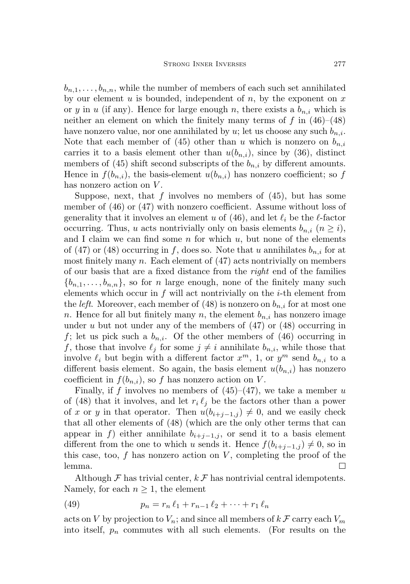$b_{n,1}, \ldots, b_{n,n}$ , while the number of members of each such set annihilated by our element  $u$  is bounded, independent of  $n$ , by the exponent on  $x$ or y in u (if any). Hence for large enough n, there exists a  $b_{n,i}$  which is neither an element on which the finitely many terms of f in  $(46)$ – $(48)$ have nonzero value, nor one annihilated by u; let us choose any such  $b_{n,i}$ . Note that each member of [\(45\)](#page-23-3) other than u which is nonzero on  $b_{n,i}$ carries it to a basis element other than  $u(b_{n,i})$ , since by [\(36\)](#page-21-0), distinct members of [\(45\)](#page-23-3) shift second subscripts of the  $b_{n,i}$  by different amounts. Hence in  $f(b_{n,i})$ , the basis-element  $u(b_{n,i})$  has nonzero coefficient; so f has nonzero action on V.

Suppose, next, that  $f$  involves no members of  $(45)$ , but has some member of [\(46\)](#page-23-5) or [\(47\)](#page-23-6) with nonzero coefficient. Assume without loss of generality that it involves an element u of [\(46\)](#page-23-5), and let  $\ell_i$  be the  $\ell$ -factor occurring. Thus, u acts nontrivially only on basis elements  $b_{n,i}$   $(n \geq i)$ , and I claim we can find some  $n$  for which  $u$ , but none of the elements of [\(47\)](#page-23-6) or [\(48\)](#page-23-4) occurring in f, does so. Note that u annihilates  $b_{n,i}$  for at most finitely many  $n$ . Each element of  $(47)$  acts nontrivially on members of our basis that are a fixed distance from the *right* end of the families  ${b_{n,1}, \ldots, b_{n,n}}$ , so for n large enough, none of the finitely many such elements which occur in  $f$  will act nontrivially on the *i*-th element from the *left*. Moreover, each member of [\(48\)](#page-23-4) is nonzero on  $b_{n,i}$  for at most one n. Hence for all but finitely many n, the element  $b_{n,i}$  has nonzero image under u but not under any of the members of  $(47)$  or  $(48)$  occurring in f; let us pick such a  $b_{n,i}$ . Of the other members of [\(46\)](#page-23-5) occurring in f, those that involve  $\ell_j$  for some  $j \neq i$  annihilate  $b_{n,i}$ , while those that involve  $\ell_i$  but begin with a different factor  $x^m$ , 1, or  $y^m$  send  $b_{n,i}$  to a different basis element. So again, the basis element  $u(b_{n,i})$  has nonzero coefficient in  $f(b_{n,i})$ , so f has nonzero action on V.

Finally, if f involves no members of  $(45)$ – $(47)$ , we take a member u of [\(48\)](#page-23-4) that it involves, and let  $r_i \ell_j$  be the factors other than a power of x or y in that operator. Then  $u(b_{i+j-1,j}) \neq 0$ , and we easily check that all other elements of [\(48\)](#page-23-4) (which are the only other terms that can appear in f) either annihilate  $b_{i+j-1,j}$ , or send it to a basis element different from the one to which u sends it. Hence  $f(b_{i+j-1,j}) \neq 0$ , so in this case, too,  $f$  has nonzero action on  $V$ , completing the proof of the lemma.  $\Box$ 

Although  $\mathcal F$  has trivial center,  $k \mathcal F$  has nontrivial central idempotents. Namely, for each  $n \geq 1$ , the element

(49) 
$$
p_n = r_n \ell_1 + r_{n-1} \ell_2 + \cdots + r_1 \ell_n
$$

acts on V by projection to  $V_n$ ; and since all members of  $k \mathcal{F}$  carry each  $V_m$ into itself,  $p_n$  commutes with all such elements. (For results on the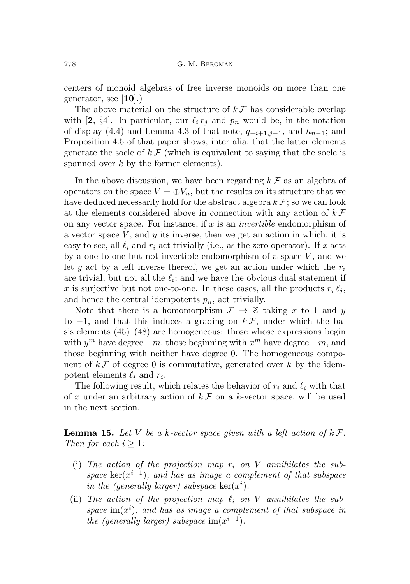centers of monoid algebras of free inverse monoids on more than one generator, see [[10](#page-31-4)].)

The above material on the structure of  $k \mathcal{F}$  has considerable overlap with [[2](#page-30-1), §4]. In particular, our  $\ell_i r_j$  and  $p_n$  would be, in the notation of display (4.4) and Lemma 4.3 of that note,  $q_{-i+1,j-1}$ , and  $h_{n-1}$ ; and Proposition 4.5 of that paper shows, inter alia, that the latter elements generate the socle of  $k \mathcal{F}$  (which is equivalent to saying that the socle is spanned over  $k$  by the former elements).

In the above discussion, we have been regarding  $k \mathcal{F}$  as an algebra of operators on the space  $V = \bigoplus V_n$ , but the results on its structure that we have deduced necessarily hold for the abstract algebra  $k \mathcal{F}$ ; so we can look at the elements considered above in connection with any action of  $k \mathcal{F}$ on any vector space. For instance, if  $x$  is an *invertible* endomorphism of a vector space  $V$ , and  $y$  its inverse, then we get an action in which, it is easy to see, all  $\ell_i$  and  $r_i$  act trivially (i.e., as the zero operator). If x acts by a one-to-one but not invertible endomorphism of a space  $V$ , and we let y act by a left inverse thereof, we get an action under which the  $r_i$ are trivial, but not all the  $\ell_i$ ; and we have the obvious dual statement if x is surjective but not one-to-one. In these cases, all the products  $r_i \ell_i$ , and hence the central idempotents  $p_n$ , act trivially.

Note that there is a homomorphism  $\mathcal{F} \to \mathbb{Z}$  taking x to 1 and y to  $-1$ , and that this induces a grading on  $k\mathcal{F}$ , under which the basis elements  $(45)$ – $(48)$  are homogeneous: those whose expressions begin with  $y^m$  have degree  $-m$ , those beginning with  $x^m$  have degree  $+m$ , and those beginning with neither have degree 0. The homogeneous component of  $k \mathcal{F}$  of degree 0 is commutative, generated over k by the idempotent elements  $\ell_i$  and  $r_i$ .

The following result, which relates the behavior of  $r_i$  and  $\ell_i$  with that of x under an arbitrary action of  $k \mathcal{F}$  on a k-vector space, will be used in the next section.

<span id="page-25-0"></span>**Lemma 15.** Let V be a k-vector space given with a left action of  $k \mathcal{F}$ . Then for each  $i \geq 1$ :

- (i) The action of the projection map  $r_i$  on V annihilates the subspace  $\ker(x^{i-1})$ , and has as image a complement of that subspace in the (generally larger) subspace  $\ker(x^i)$ .
- (ii) The action of the projection map  $\ell_i$  on V annihilates the subspace  $\text{im}(x^i)$ , and has as image a complement of that subspace in the (generally larger) subspace  $\text{im}(x^{i-1})$ .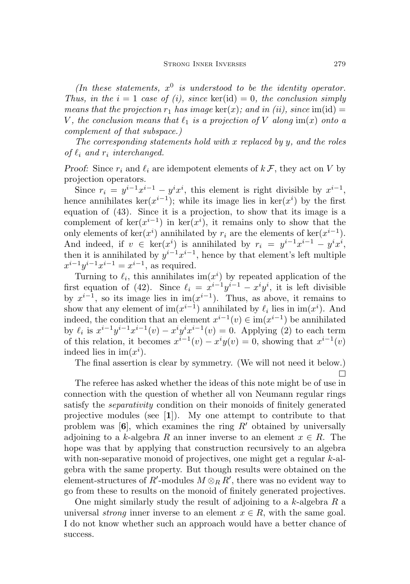(In these statements,  $x^0$  is understood to be the identity operator. Thus, in the  $i = 1$  case of (i), since ker(id) = 0, the conclusion simply means that the projection  $r_1$  has image  $\ker(x)$ ; and in (ii), since  $\text{im}(\text{id}) =$ V, the conclusion means that  $\ell_1$  is a projection of V along im(x) onto a complement of that subspace.)

The corresponding statements hold with x replaced by  $y$ , and the roles of  $\ell_i$  and  $r_i$  interchanged.

Proof: Since  $r_i$  and  $\ell_i$  are idempotent elements of  $k \mathcal{F}$ , they act on V by projection operators.

Since  $r_i = y^{i-1}x^{i-1} - y^ix^i$ , this element is right divisible by  $x^{i-1}$ , hence annihilates ker $(x^{i-1})$ ; while its image lies in ker $(x^{i})$  by the first equation of [\(43\)](#page-23-7). Since it is a projection, to show that its image is a complement of  $\ker(x^{i-1})$  in  $\ker(x^i)$ , it remains only to show that the only elements of  $\ker(x^i)$  annihilated by  $r_i$  are the elements of  $\ker(x^{i-1})$ . And indeed, if  $v \in \text{ker}(x^i)$  is annihilated by  $r_i = y^{i-1}x^{i-1} - y^ix^i$ , then it is annihilated by  $y^{i-1}x^{i-1}$ , hence by that element's left multiple  $x^{i-1}y^{i-1}x^{i-1} = x^{i-1}$ , as required.

Turning to  $\ell_i$ , this annihilates im $(x^i)$  by repeated application of the first equation of [\(42\)](#page-23-0). Since  $\ell_i = x^{i-1}y^{i-1} - x^iy^i$ , it is left divisible by  $x^{i-1}$ , so its image lies in im $(x^{i-1})$ . Thus, as above, it remains to show that any element of  $\text{im}(x^{i-1})$  annihilated by  $\ell_i$  lies in  $\text{im}(x^i)$ . And indeed, the condition that an element  $x^{i-1}(v) \in \text{im}(x^{i-1})$  be annihilated by  $\ell_i$  is  $x^{i-1}y^{i-1}x^{i-1}(v) - x^iy^ix^{i-1}(v) = 0$ . Applying [\(2\)](#page-3-0) to each term of this relation, it becomes  $x^{i-1}(v) - x^i y(v) = 0$ , showing that  $x^{i-1}(v)$ indeed lies in  $im(x^i)$ .

The final assertion is clear by symmetry. (We will not need it below.) п

The referee has asked whether the ideas of this note might be of use in connection with the question of whether all von Neumann regular rings satisfy the separativity condition on their monoids of finitely generated projective modules (see [[1](#page-30-6)]). My one attempt to contribute to that problem was  $[6]$  $[6]$  $[6]$ , which examines the ring  $R'$  obtained by universally adjoining to a k-algebra R an inner inverse to an element  $x \in R$ . The hope was that by applying that construction recursively to an algebra with non-separative monoid of projectives, one might get a regular k-algebra with the same property. But though results were obtained on the element-structures of  $R'$ -modules  $M \otimes_R R'$ , there was no evident way to go from these to results on the monoid of finitely generated projectives.

One might similarly study the result of adjoining to a  $k$ -algebra  $R$  a universal strong inner inverse to an element  $x \in R$ , with the same goal. I do not know whether such an approach would have a better chance of success.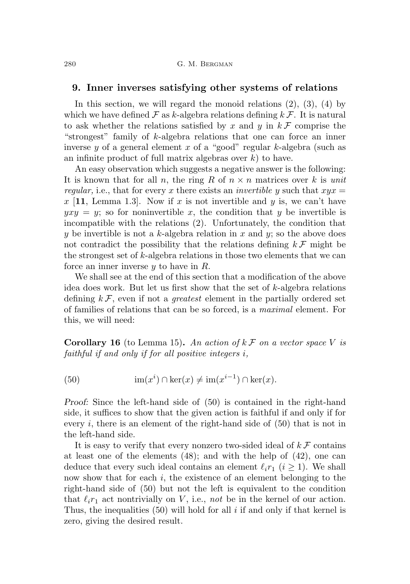### <span id="page-27-0"></span>9. Inner inverses satisfying other systems of relations

In this section, we will regard the monoid relations  $(2)$ ,  $(3)$ ,  $(4)$  by which we have defined  $\mathcal F$  as k-algebra relations defining  $k\mathcal F$ . It is natural to ask whether the relations satisfied by x and y in  $k \mathcal{F}$  comprise the "strongest" family of k-algebra relations that one can force an inner inverse y of a general element x of a "good" regular k-algebra (such as an infinite product of full matrix algebras over  $k$ ) to have.

An easy observation which suggests a negative answer is the following: It is known that for all n, the ring R of  $n \times n$  matrices over k is unit regular, i.e., that for every x there exists an *invertible y* such that  $xyz =$ x [[11](#page-31-8), Lemma 1.3]. Now if x is not invertible and y is, we can't have  $yxy = y$ ; so for noninvertible x, the condition that y be invertible is incompatible with the relations [\(2\)](#page-3-0). Unfortunately, the condition that y be invertible is not a k-algebra relation in x and y; so the above does not contradict the possibility that the relations defining  $k \mathcal{F}$  might be the strongest set of  $k$ -algebra relations in those two elements that we can force an inner inverse  $y$  to have in  $R$ .

We shall see at the end of this section that a modification of the above idea does work. But let us first show that the set of  $k$ -algebra relations defining  $k \mathcal{F}$ , even if not a *greatest* element in the partially ordered set of families of relations that can be so forced, is a maximal element. For this, we will need:

**Corollary 16** (to Lemma [15\)](#page-25-0). An action of  $k \mathcal{F}$  on a vector space V is faithful if and only if for all positive integers i,

<span id="page-27-1"></span>(50) 
$$
\operatorname{im}(x^i) \cap \ker(x) \neq \operatorname{im}(x^{i-1}) \cap \ker(x).
$$

Proof: Since the left-hand side of [\(50\)](#page-27-1) is contained in the right-hand side, it suffices to show that the given action is faithful if and only if for every i, there is an element of the right-hand side of  $(50)$  that is not in the left-hand side.

It is easy to verify that every nonzero two-sided ideal of  $k \mathcal{F}$  contains at least one of the elements [\(48\)](#page-23-4); and with the help of [\(42\)](#page-23-0), one can deduce that every such ideal contains an element  $\ell_i r_1$   $(i \geq 1)$ . We shall now show that for each  $i$ , the existence of an element belonging to the right-hand side of [\(50\)](#page-27-1) but not the left is equivalent to the condition that  $\ell_i r_1$  act nontrivially on V, i.e., not be in the kernel of our action. Thus, the inequalities  $(50)$  will hold for all i if and only if that kernel is zero, giving the desired result.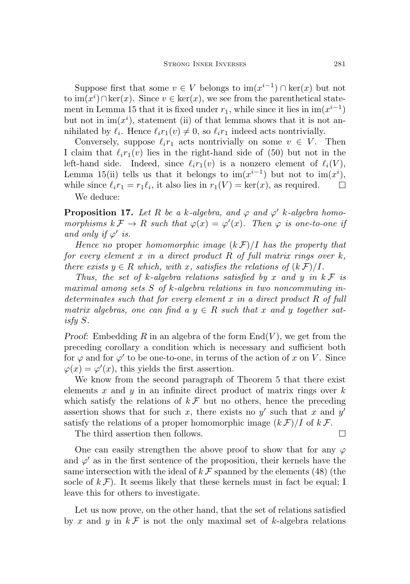Suppose first that some  $v \in V$  belongs to  $\text{im}(x^{i-1}) \cap \text{ker}(x)$  but not to  $\operatorname{im}(x^i) \cap \ker(x)$ . Since  $v \in \ker(x)$ , we see from the parenthetical state-ment in Lemma [15](#page-25-0) that it is fixed under  $r_1$ , while since it lies in  $\text{im}(x^{i-1})$ but not in  $\text{im}(x^i)$ , statement (ii) of that lemma shows that it is not annihilated by  $\ell_i$ . Hence  $\ell_i r_1(v) \neq 0$ , so  $\ell_i r_1$  indeed acts nontrivially.

Conversely, suppose  $\ell_i r_1$  acts nontrivially on some  $v \in V$ . Then I claim that  $\ell_i r_1(v)$  lies in the right-hand side of [\(50\)](#page-27-1) but not in the left-hand side. Indeed, since  $\ell_i r_1(v)$  is a nonzero element of  $\ell_i(V)$ , Lemma [15\(](#page-25-0)ii) tells us that it belongs to  $\text{im}(x^{i-1})$  but not to  $\text{im}(x^i)$ , while since  $\ell_i r_1 = r_1 \ell_i$ , it also lies in  $r_1(V) = \text{ker}(x)$ , as required.  $\Box$ We deduce:

<span id="page-28-0"></span>**Proposition 17.** Let R be a k-algebra, and  $\varphi$  and  $\varphi'$  k-algebra homomorphisms  $k \mathcal{F} \to R$  such that  $\varphi(x) = \varphi'(x)$ . Then  $\varphi$  is one-to-one if and only if  $\varphi'$  is.

Hence no proper homomorphic image  $(k \mathcal{F})/I$  has the property that for every element  $x$  in a direct product  $R$  of full matrix rings over  $k$ , there exists  $y \in R$  which, with x, satisfies the relations of  $(k \mathcal{F})/I$ .

Thus, the set of k-algebra relations satisfied by x and y in  $k \mathcal{F}$  is maximal among sets  $S$  of  $k$ -algebra relations in two noncommuting indeterminates such that for every element x in a direct product R of full matrix algebras, one can find a  $y \in R$  such that x and y together satisfy S.

Proof: Embedding R in an algebra of the form  $End(V)$ , we get from the preceding corollary a condition which is necessary and sufficient both for  $\varphi$  and for  $\varphi'$  to be one-to-one, in terms of the action of x on V. Since  $\varphi(x) = \varphi'(x)$ , this yields the first assertion.

We know from the second paragraph of Theorem [5](#page-10-0) that there exist elements x and y in an infinite direct product of matrix rings over  $k$ which satisfy the relations of  $k \mathcal{F}$  but no others, hence the preceding assertion shows that for such x, there exists no  $y'$  such that x and  $y'$ satisfy the relations of a proper homomorphic image  $(k \mathcal{F})/I$  of  $k \mathcal{F}$ .

The third assertion then follows.

One can easily strengthen the above proof to show that for any  $\varphi$ and  $\varphi'$  as in the first sentence of the proposition, their kernels have the same intersection with the ideal of  $k \mathcal{F}$  spanned by the elements [\(48\)](#page-23-4) (the socle of  $k \mathcal{F}$ ). It seems likely that these kernels must in fact be equal; I leave this for others to investigate.

Let us now prove, on the other hand, that the set of relations satisfied by x and y in  $k \mathcal{F}$  is not the only maximal set of k-algebra relations

 $\Box$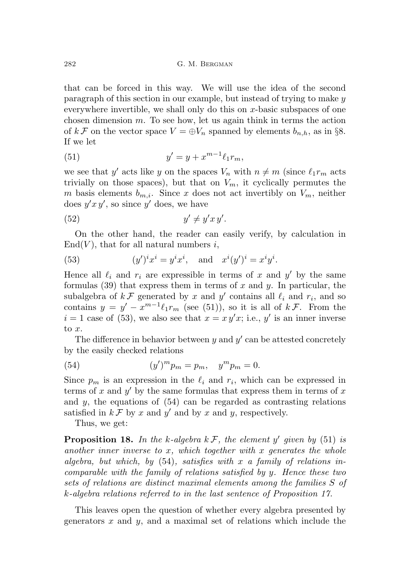that can be forced in this way. We will use the idea of the second paragraph of this section in our example, but instead of trying to make y everywhere invertible, we shall only do this on  $x$ -basic subspaces of one chosen dimension  $m$ . To see how, let us again think in terms the action of  $k \mathcal{F}$  on the vector space  $V = \bigoplus V_n$  spanned by elements  $b_{n,h}$ , as in §[8.](#page-21-1) If we let

<span id="page-29-0"></span>(51) 
$$
y' = y + x^{m-1} \ell_1 r_m,
$$

we see that y' acts like y on the spaces  $V_n$  with  $n \neq m$  (since  $\ell_1 r_m$  acts trivially on those spaces), but that on  $V_m$ , it cyclically permutes the m basis elements  $b_{m,i}$ . Since x does not act invertibly on  $V_m$ , neither does  $y'x y'$ , so since y' does, we have

<span id="page-29-2"></span>
$$
(52) \t\t y' \neq y'x\,y'.
$$

On the other hand, the reader can easily verify, by calculation in  $\text{End}(V)$ , that for all natural numbers i,

<span id="page-29-1"></span>(53) 
$$
(y')^i x^i = y^i x^i
$$
, and  $x^i (y')^i = x^i y^i$ .

Hence all  $\ell_i$  and  $r_i$  are expressible in terms of x and y' by the same formulas  $(39)$  that express them in terms of x and y. In particular, the subalgebra of  $k \mathcal{F}$  generated by x and y' contains all  $\ell_i$  and  $r_i$ , and so contains  $y = y' - x^{m-1} \ell_1 r_m$  (see [\(51\)](#page-29-0)), so it is all of  $k \mathcal{F}$ . From the  $i = 1$  case of [\(53\)](#page-29-1), we also see that  $x = x y' x$ ; i.e., y' is an inner inverse to  $x$ .

The difference in behavior between  $y$  and  $y'$  can be attested concretely by the easily checked relations

<span id="page-29-3"></span>(54) 
$$
(y')^m p_m = p_m, \quad y^m p_m = 0.
$$

Since  $p_m$  is an expression in the  $\ell_i$  and  $r_i$ , which can be expressed in terms of x and  $y'$  by the same formulas that express them in terms of x and  $y$ , the equations of  $(54)$  can be regarded as contrasting relations satisfied in  $k \mathcal{F}$  by x and y' and by x and y, respectively.

Thus, we get:

**Proposition 18.** In the k-algebra  $k \mathcal{F}$ , the element y' given by [\(51\)](#page-29-0) is another inner inverse to x, which together with x generates the whole algebra, but which, by  $(54)$ , satisfies with x a family of relations incomparable with the family of relations satisfied by y. Hence these two sets of relations are distinct maximal elements among the families S of k-algebra relations referred to in the last sentence of Proposition [17.](#page-28-0)

This leaves open the question of whether every algebra presented by generators  $x$  and  $y$ , and a maximal set of relations which include the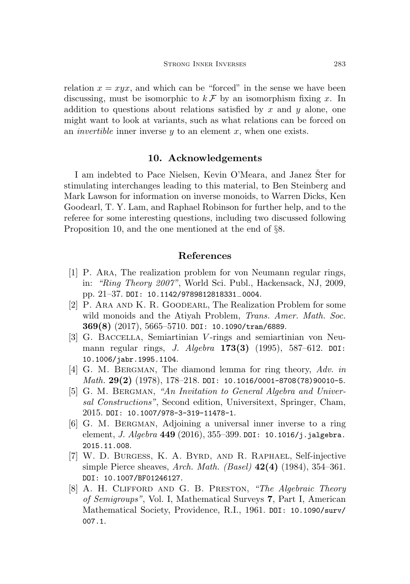relation  $x = xyx$ , and which can be "forced" in the sense we have been discussing, must be isomorphic to  $k \mathcal{F}$  by an isomorphism fixing x. In addition to questions about relations satisfied by  $x$  and  $y$  alone, one might want to look at variants, such as what relations can be forced on an *invertible* inner inverse  $y$  to an element  $x$ , when one exists.

## 10. Acknowledgements

I am indebted to Pace Nielsen, Kevin O'Meara, and Janez Šter for stimulating interchanges leading to this material, to Ben Steinberg and Mark Lawson for information on inverse monoids, to Warren Dicks, Ken Goodearl, T. Y. Lam, and Raphael Robinson for further help, and to the referee for some interesting questions, including two discussed following Proposition [10,](#page-14-1) and the one mentioned at the end of §[8.](#page-21-1)

## References

- <span id="page-30-6"></span>[1] P. Ara, The realization problem for von Neumann regular rings, in: "Ring Theory 2007", World Sci. Publ., Hackensack, NJ, 2009, pp. 21–37. [DOI: 10.1142/9789812818331](https://doi.org/10.1142/9789812818331_0004)−0004.
- <span id="page-30-1"></span>[2] P. Ara and K. R. Goodearl, The Realization Problem for some wild monoids and the Atiyah Problem, *Trans. Amer. Math. Soc.* 369(8) (2017), 5665–5710. [DOI: 10.1090/tran/6889](https://doi.org/10.1090/tran/6889).
- <span id="page-30-4"></span>[3] G. Baccella, Semiartinian V -rings and semiartinian von Neumann regular rings, *J. Algebra* 173(3) (1995), 587–612. [DOI:](https://doi.org/10.1006/jabr.1995.1104) [10.1006/jabr.1995.1104](https://doi.org/10.1006/jabr.1995.1104).
- <span id="page-30-2"></span>[4] G. M. BERGMAN, The diamond lemma for ring theory, Adv. in Math.  $29(2)$  (1978), 178-218. [DOI: 10.1016/0001-8708\(78\)90010-5](https://doi.org/10.1016/0001-8708(78)90010-5).
- <span id="page-30-3"></span>[5] G. M. BERGMAN, "An Invitation to General Algebra and Universal Constructions", Second edition, Universitext, Springer, Cham, 2015. [DOI: 10.1007/978-3-319-11478-1](https://doi.org/10.1007/978-3-319-11478-1).
- <span id="page-30-7"></span>[6] G. M. Bergman, Adjoining a universal inner inverse to a ring element, J. Algebra 449 (2016), 355–399. [DOI: 10.1016/j.jalgebra.](https://doi.org/10.1016/j.jalgebra.2015.11.008) [2015.11.008](https://doi.org/10.1016/j.jalgebra.2015.11.008).
- <span id="page-30-5"></span>[7] W. D. Burgess, K. A. Byrd, and R. Raphael, Self-injective simple Pierce sheaves, Arch. Math. (Basel)  $42(4)$  (1984), 354–361. [DOI: 10.1007/BF01246127](https://doi.org/10.1007/BF01246127).
- <span id="page-30-0"></span>[8] A. H. Clifford and G. B. Preston, "The Algebraic Theory of Semigroups", Vol. I, Mathematical Surveys 7, Part I, American Mathematical Society, Providence, R.I., 1961. [DOI: 10.1090/surv/](https://doi.org/10.1090/surv/007.1) [007.1](https://doi.org/10.1090/surv/007.1).